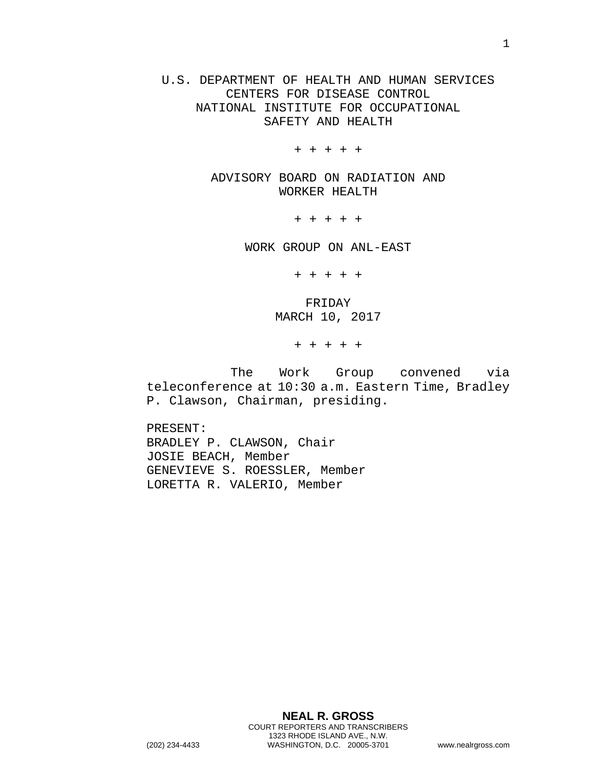U.S. DEPARTMENT OF HEALTH AND HUMAN SERVICES CENTERS FOR DISEASE CONTROL NATIONAL INSTITUTE FOR OCCUPATIONAL SAFETY AND HEALTH

+ + + + +

ADVISORY BOARD ON RADIATION AND WORKER HEALTH

+ + + + +

WORK GROUP ON ANL-EAST

+ + + + +

FRIDAY MARCH 10, 2017

+ + + + +

The Work Group convened via teleconference at 10:30 a.m. Eastern Time, Bradley P. Clawson, Chairman, presiding.

PRESENT: BRADLEY P. CLAWSON, Chair JOSIE BEACH, Member GENEVIEVE S. ROESSLER, Member LORETTA R. VALERIO, Member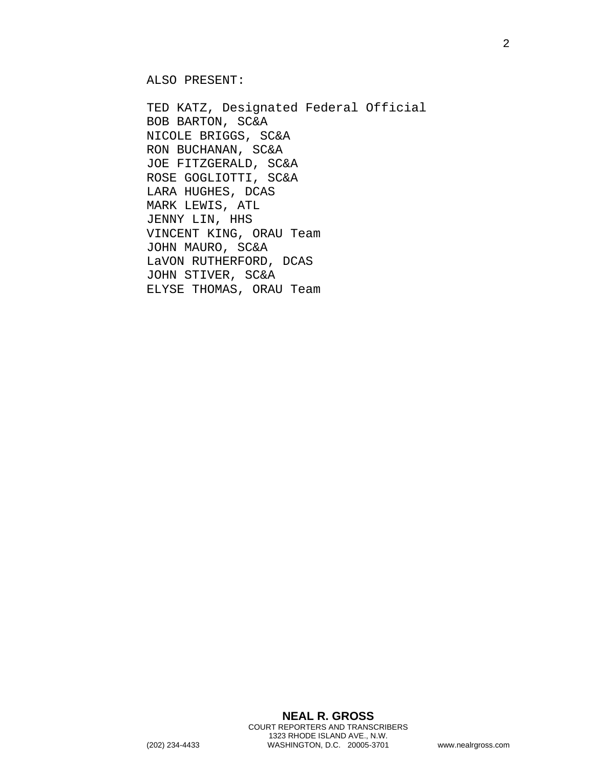ALSO PRESENT:

TED KATZ, Designated Federal Official BOB BARTON, SC&A NICOLE BRIGGS, SC&A RON BUCHANAN, SC&A JOE FITZGERALD, SC&A ROSE GOGLIOTTI, SC&A LARA HUGHES, DCAS MARK LEWIS, ATL JENNY LIN, HHS VINCENT KING, ORAU Team JOHN MAURO, SC&A LaVON RUTHERFORD, DCAS JOHN STIVER, SC&A ELYSE THOMAS, ORAU Team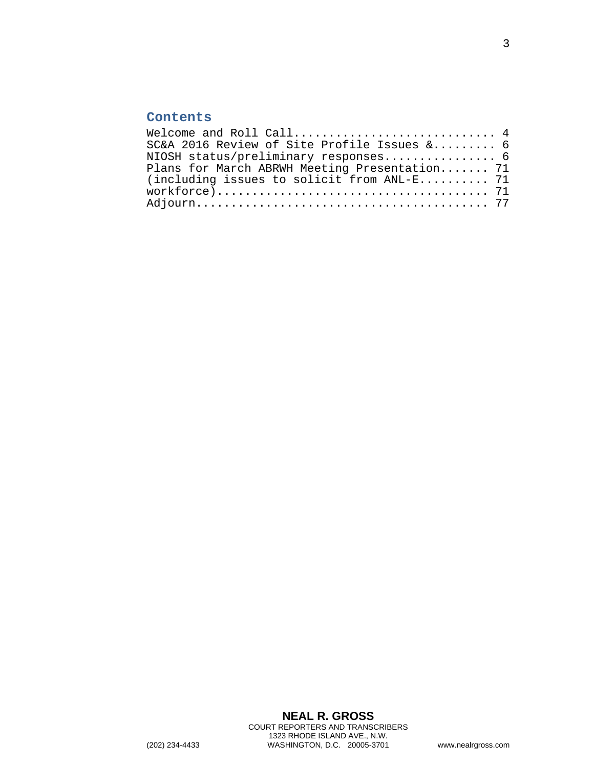## **Contents**

| SC&A 2016 Review of Site Profile Issues & 6   |
|-----------------------------------------------|
| NIOSH status/preliminary responses 6          |
| Plans for March ABRWH Meeting Presentation 71 |
| (including issues to solicit from ANL-E 71    |
|                                               |
|                                               |
|                                               |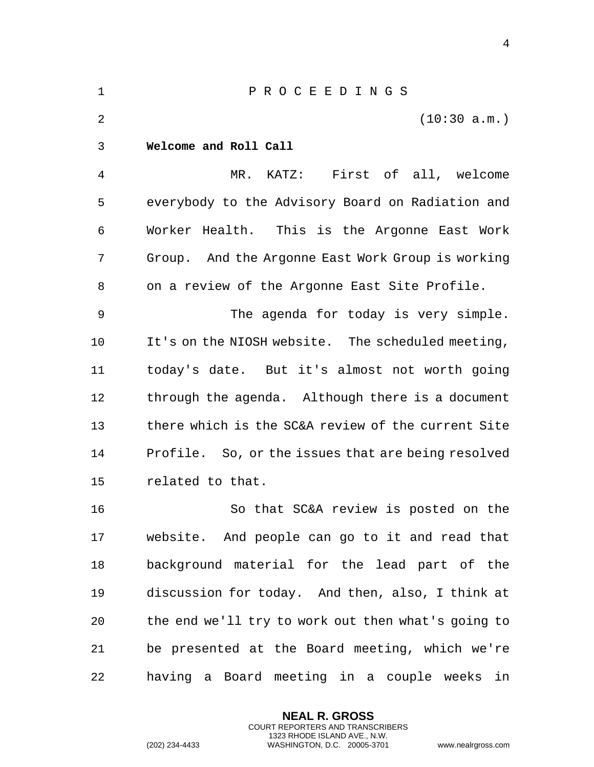<span id="page-3-0"></span> P R O C E E D I N G S (10:30 a.m.) **Welcome and Roll Call** MR. KATZ: First of all, welcome everybody to the Advisory Board on Radiation and Worker Health. This is the Argonne East Work Group. And the Argonne East Work Group is working on a review of the Argonne East Site Profile. The agenda for today is very simple. It's on the NIOSH website. The scheduled meeting, today's date. But it's almost not worth going through the agenda. Although there is a document there which is the SC&A review of the current Site Profile. So, or the issues that are being resolved related to that. So that SC&A review is posted on the website. And people can go to it and read that background material for the lead part of the discussion for today. And then, also, I think at the end we'll try to work out then what's going to be presented at the Board meeting, which we're having a Board meeting in a couple weeks in

> **NEAL R. GROSS** COURT REPORTERS AND TRANSCRIBERS 1323 RHODE ISLAND AVE., N.W.

(202) 234-4433 WASHINGTON, D.C. 20005-3701 www.nealrgross.com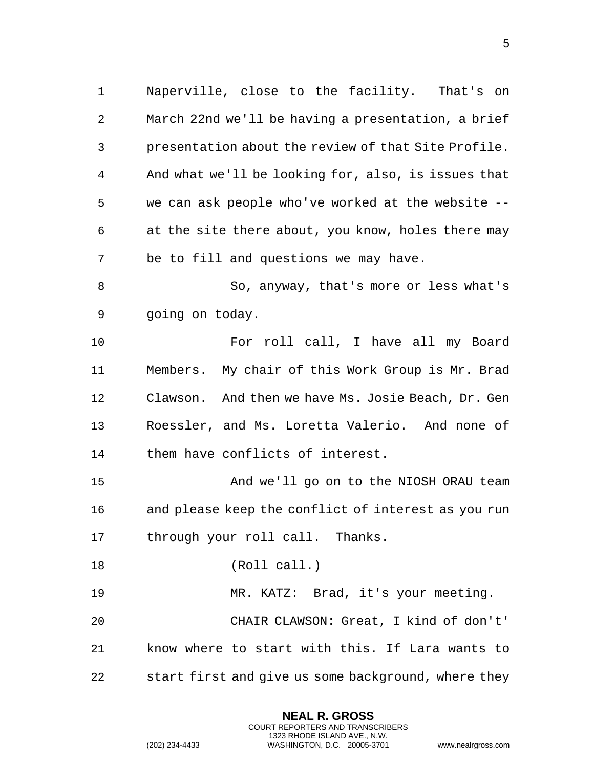Naperville, close to the facility. That's on March 22nd we'll be having a presentation, a brief presentation about the review of that Site Profile. And what we'll be looking for, also, is issues that we can ask people who've worked at the website -- at the site there about, you know, holes there may be to fill and questions we may have. So, anyway, that's more or less what's going on today. For roll call, I have all my Board Members. My chair of this Work Group is Mr. Brad Clawson. And then we have Ms. Josie Beach, Dr. Gen Roessler, and Ms. Loretta Valerio. And none of them have conflicts of interest. And we'll go on to the NIOSH ORAU team and please keep the conflict of interest as you run through your roll call. Thanks. (Roll call.) MR. KATZ: Brad, it's your meeting. CHAIR CLAWSON: Great, I kind of don't' know where to start with this. If Lara wants to start first and give us some background, where they

> **NEAL R. GROSS** COURT REPORTERS AND TRANSCRIBERS 1323 RHODE ISLAND AVE., N.W.

(202) 234-4433 WASHINGTON, D.C. 20005-3701 www.nealrgross.com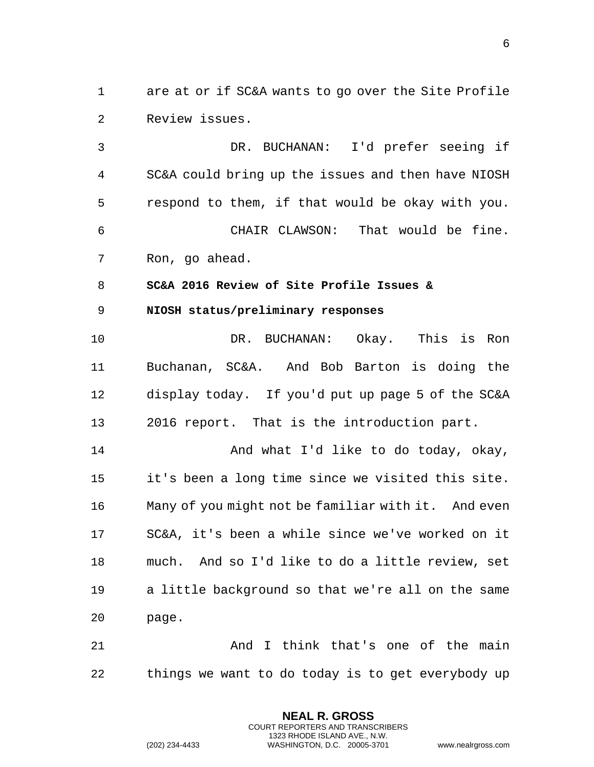are at or if SC&A wants to go over the Site Profile Review issues.

 DR. BUCHANAN: I'd prefer seeing if SC&A could bring up the issues and then have NIOSH respond to them, if that would be okay with you. CHAIR CLAWSON: That would be fine. Ron, go ahead.

<span id="page-5-0"></span>**SC&A 2016 Review of Site Profile Issues &**

<span id="page-5-1"></span>**NIOSH status/preliminary responses**

 DR. BUCHANAN: Okay. This is Ron Buchanan, SC&A. And Bob Barton is doing the display today. If you'd put up page 5 of the SC&A 2016 report. That is the introduction part.

**And what I'd like to do today, okay,**  it's been a long time since we visited this site. Many of you might not be familiar with it. And even SC&A, it's been a while since we've worked on it much. And so I'd like to do a little review, set a little background so that we're all on the same page.

21 And I think that's one of the main things we want to do today is to get everybody up

> **NEAL R. GROSS** COURT REPORTERS AND TRANSCRIBERS 1323 RHODE ISLAND AVE., N.W.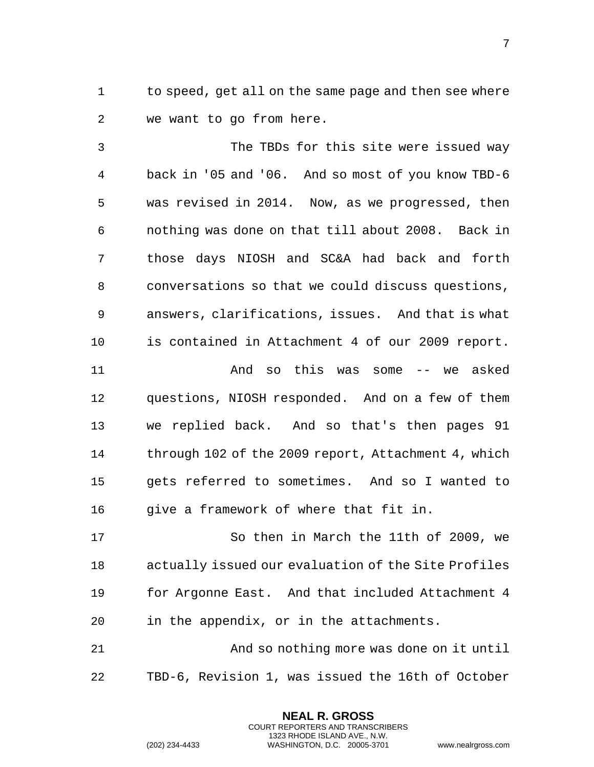to speed, get all on the same page and then see where we want to go from here.

 The TBDs for this site were issued way back in '05 and '06. And so most of you know TBD-6 was revised in 2014. Now, as we progressed, then nothing was done on that till about 2008. Back in those days NIOSH and SC&A had back and forth conversations so that we could discuss questions, answers, clarifications, issues. And that is what is contained in Attachment 4 of our 2009 report. And so this was some -- we asked questions, NIOSH responded. And on a few of them we replied back. And so that's then pages 91 through 102 of the 2009 report, Attachment 4, which gets referred to sometimes. And so I wanted to 16 give a framework of where that fit in.

 So then in March the 11th of 2009, we actually issued our evaluation of the Site Profiles for Argonne East. And that included Attachment 4 in the appendix, or in the attachments.

 And so nothing more was done on it until TBD-6, Revision 1, was issued the 16th of October

> **NEAL R. GROSS** COURT REPORTERS AND TRANSCRIBERS 1323 RHODE ISLAND AVE., N.W.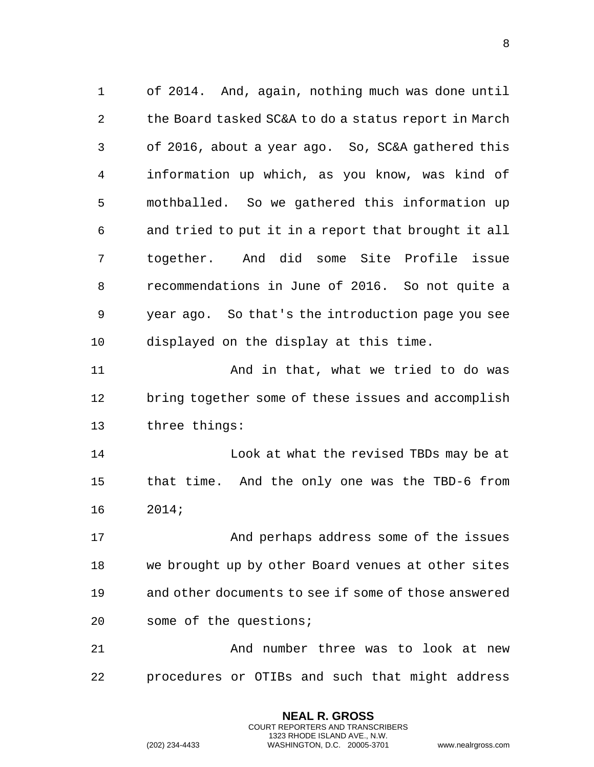of 2014. And, again, nothing much was done until the Board tasked SC&A to do a status report in March of 2016, about a year ago. So, SC&A gathered this information up which, as you know, was kind of mothballed. So we gathered this information up and tried to put it in a report that brought it all together. And did some Site Profile issue recommendations in June of 2016. So not quite a year ago. So that's the introduction page you see displayed on the display at this time. And in that, what we tried to do was bring together some of these issues and accomplish

three things:

 Look at what the revised TBDs may be at that time. And the only one was the TBD-6 from 2014;

 And perhaps address some of the issues we brought up by other Board venues at other sites and other documents to see if some of those answered some of the questions;

 And number three was to look at new procedures or OTIBs and such that might address

> **NEAL R. GROSS** COURT REPORTERS AND TRANSCRIBERS 1323 RHODE ISLAND AVE., N.W.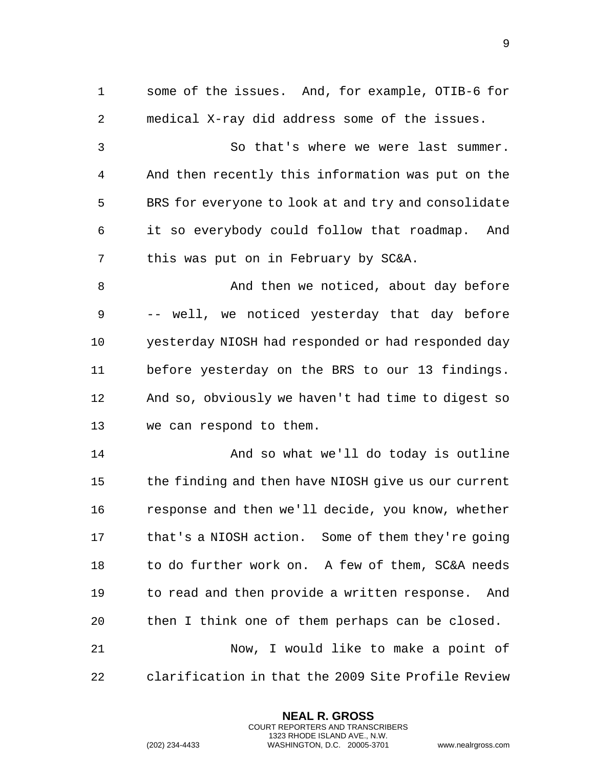some of the issues. And, for example, OTIB-6 for medical X-ray did address some of the issues. So that's where we were last summer. And then recently this information was put on the BRS for everyone to look at and try and consolidate it so everybody could follow that roadmap. And this was put on in February by SC&A. 8 And then we noticed, about day before -- well, we noticed yesterday that day before yesterday NIOSH had responded or had responded day before yesterday on the BRS to our 13 findings. And so, obviously we haven't had time to digest so we can respond to them. And so what we'll do today is outline the finding and then have NIOSH give us our current response and then we'll decide, you know, whether that's a NIOSH action. Some of them they're going to do further work on. A few of them, SC&A needs to read and then provide a written response. And then I think one of them perhaps can be closed. Now, I would like to make a point of clarification in that the 2009 Site Profile Review

> **NEAL R. GROSS** COURT REPORTERS AND TRANSCRIBERS 1323 RHODE ISLAND AVE., N.W.

(202) 234-4433 WASHINGTON, D.C. 20005-3701 www.nealrgross.com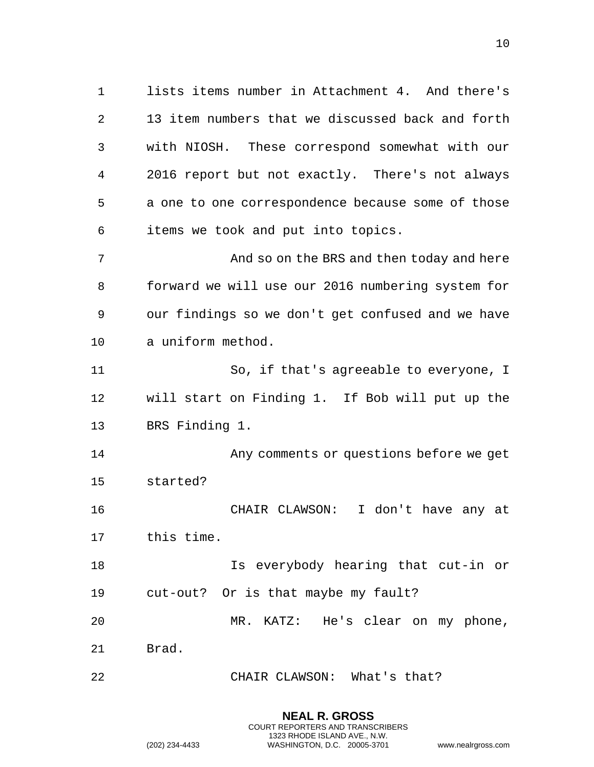lists items number in Attachment 4. And there's 13 item numbers that we discussed back and forth with NIOSH. These correspond somewhat with our 2016 report but not exactly. There's not always a one to one correspondence because some of those items we took and put into topics. And so on the BRS and then today and here forward we will use our 2016 numbering system for

 our findings so we don't get confused and we have a uniform method.

 So, if that's agreeable to everyone, I will start on Finding 1. If Bob will put up the BRS Finding 1.

 Any comments or questions before we get started?

 CHAIR CLAWSON: I don't have any at this time.

 Is everybody hearing that cut-in or cut-out? Or is that maybe my fault?

MR. KATZ: He's clear on my phone,

**NEAL R. GROSS**

Brad.

CHAIR CLAWSON: What's that?

COURT REPORTERS AND TRANSCRIBERS 1323 RHODE ISLAND AVE., N.W. (202) 234-4433 WASHINGTON, D.C. 20005-3701 www.nealrgross.com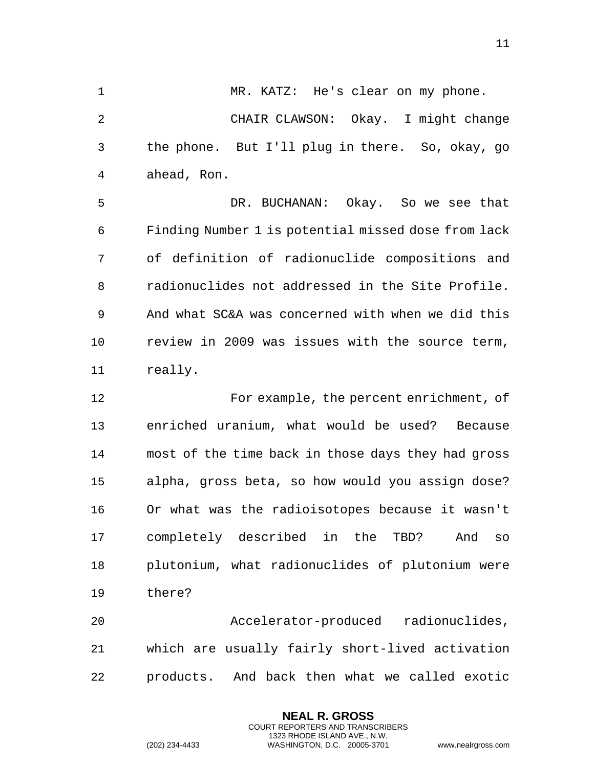MR. KATZ: He's clear on my phone. CHAIR CLAWSON: Okay. I might change the phone. But I'll plug in there. So, okay, go ahead, Ron.

 DR. BUCHANAN: Okay. So we see that Finding Number 1 is potential missed dose from lack of definition of radionuclide compositions and radionuclides not addressed in the Site Profile. And what SC&A was concerned with when we did this review in 2009 was issues with the source term, really.

 For example, the percent enrichment, of enriched uranium, what would be used? Because most of the time back in those days they had gross alpha, gross beta, so how would you assign dose? Or what was the radioisotopes because it wasn't completely described in the TBD? And so plutonium, what radionuclides of plutonium were there?

 Accelerator-produced radionuclides, which are usually fairly short-lived activation products. And back then what we called exotic

> **NEAL R. GROSS** COURT REPORTERS AND TRANSCRIBERS 1323 RHODE ISLAND AVE., N.W.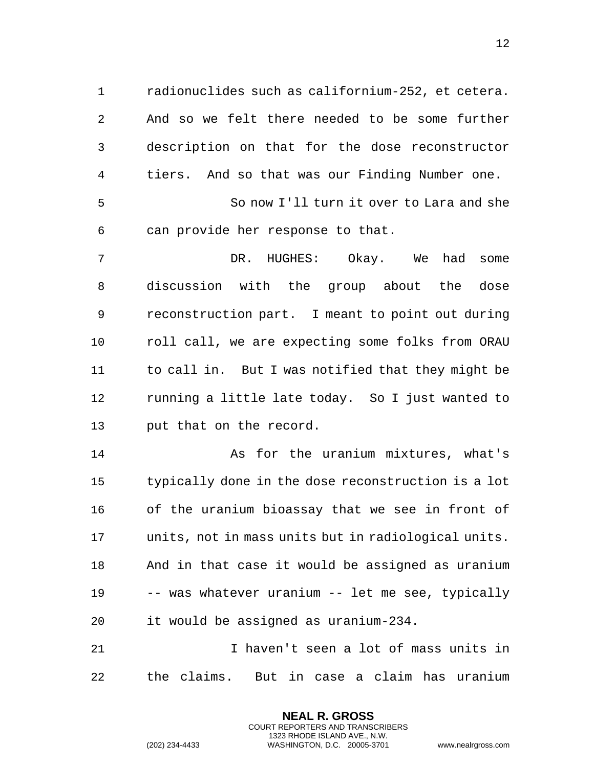radionuclides such as californium-252, et cetera. And so we felt there needed to be some further description on that for the dose reconstructor tiers. And so that was our Finding Number one. So now I'll turn it over to Lara and she

can provide her response to that.

 DR. HUGHES: Okay. We had some discussion with the group about the dose reconstruction part. I meant to point out during roll call, we are expecting some folks from ORAU to call in. But I was notified that they might be running a little late today. So I just wanted to put that on the record.

 As for the uranium mixtures, what's typically done in the dose reconstruction is a lot of the uranium bioassay that we see in front of units, not in mass units but in radiological units. And in that case it would be assigned as uranium -- was whatever uranium -- let me see, typically it would be assigned as uranium-234.

 I haven't seen a lot of mass units in the claims. But in case a claim has uranium

> **NEAL R. GROSS** COURT REPORTERS AND TRANSCRIBERS 1323 RHODE ISLAND AVE., N.W.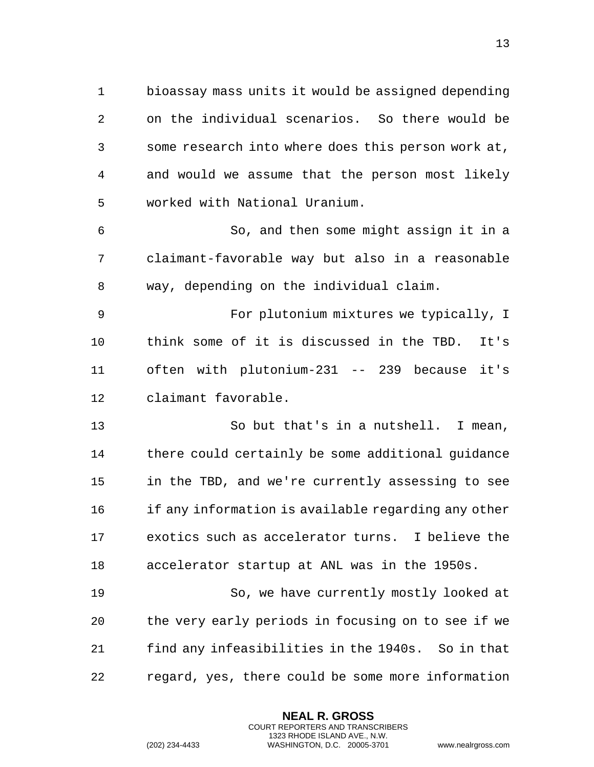bioassay mass units it would be assigned depending on the individual scenarios. So there would be some research into where does this person work at, and would we assume that the person most likely worked with National Uranium.

 So, and then some might assign it in a claimant-favorable way but also in a reasonable way, depending on the individual claim.

 For plutonium mixtures we typically, I think some of it is discussed in the TBD. It's often with plutonium-231 -- 239 because it's claimant favorable.

 So but that's in a nutshell. I mean, there could certainly be some additional guidance in the TBD, and we're currently assessing to see if any information is available regarding any other exotics such as accelerator turns. I believe the accelerator startup at ANL was in the 1950s.

 So, we have currently mostly looked at the very early periods in focusing on to see if we find any infeasibilities in the 1940s. So in that regard, yes, there could be some more information

> **NEAL R. GROSS** COURT REPORTERS AND TRANSCRIBERS 1323 RHODE ISLAND AVE., N.W.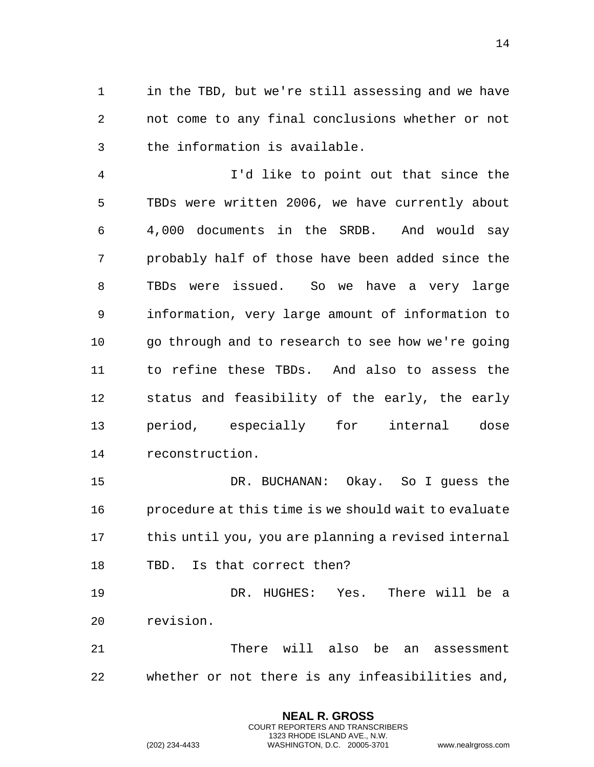in the TBD, but we're still assessing and we have not come to any final conclusions whether or not the information is available.

 I'd like to point out that since the TBDs were written 2006, we have currently about 4,000 documents in the SRDB. And would say probably half of those have been added since the TBDs were issued. So we have a very large information, very large amount of information to go through and to research to see how we're going to refine these TBDs. And also to assess the status and feasibility of the early, the early period, especially for internal dose reconstruction.

 DR. BUCHANAN: Okay. So I guess the procedure at this time is we should wait to evaluate this until you, you are planning a revised internal TBD. Is that correct then?

 DR. HUGHES: Yes. There will be a revision.

 There will also be an assessment whether or not there is any infeasibilities and,

> **NEAL R. GROSS** COURT REPORTERS AND TRANSCRIBERS 1323 RHODE ISLAND AVE., N.W.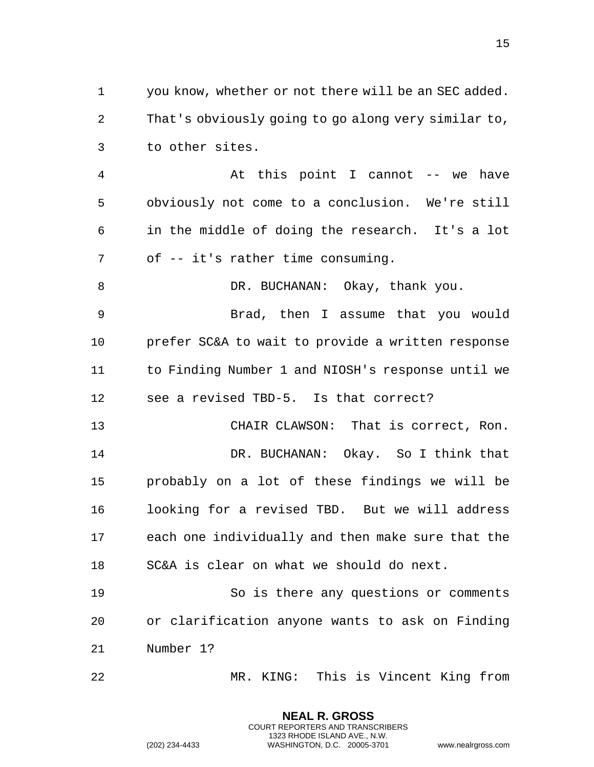you know, whether or not there will be an SEC added. That's obviously going to go along very similar to, to other sites.

4 At this point I cannot -- we have obviously not come to a conclusion. We're still in the middle of doing the research. It's a lot of -- it's rather time consuming.

8 DR. BUCHANAN: Okay, thank you. Brad, then I assume that you would prefer SC&A to wait to provide a written response to Finding Number 1 and NIOSH's response until we

see a revised TBD-5. Is that correct?

 CHAIR CLAWSON: That is correct, Ron. DR. BUCHANAN: Okay. So I think that probably on a lot of these findings we will be looking for a revised TBD. But we will address each one individually and then make sure that the SC&A is clear on what we should do next.

 So is there any questions or comments or clarification anyone wants to ask on Finding Number 1?

MR. KING: This is Vincent King from

**NEAL R. GROSS** COURT REPORTERS AND TRANSCRIBERS 1323 RHODE ISLAND AVE., N.W.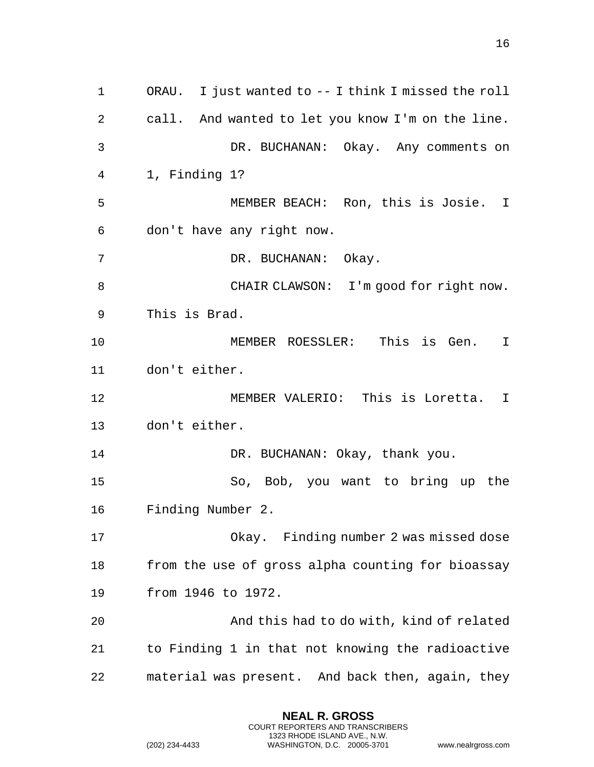ORAU. I just wanted to -- I think I missed the roll call. And wanted to let you know I'm on the line. DR. BUCHANAN: Okay. Any comments on 1, Finding 1? MEMBER BEACH: Ron, this is Josie. I don't have any right now. DR. BUCHANAN: Okay. CHAIR CLAWSON: I'm good for right now. This is Brad. MEMBER ROESSLER: This is Gen. I don't either. MEMBER VALERIO: This is Loretta. I don't either. 14 DR. BUCHANAN: Okay, thank you. So, Bob, you want to bring up the Finding Number 2. Okay. Finding number 2 was missed dose from the use of gross alpha counting for bioassay from 1946 to 1972. And this had to do with, kind of related to Finding 1 in that not knowing the radioactive material was present. And back then, again, they

> **NEAL R. GROSS** COURT REPORTERS AND TRANSCRIBERS 1323 RHODE ISLAND AVE., N.W.

(202) 234-4433 WASHINGTON, D.C. 20005-3701 www.nealrgross.com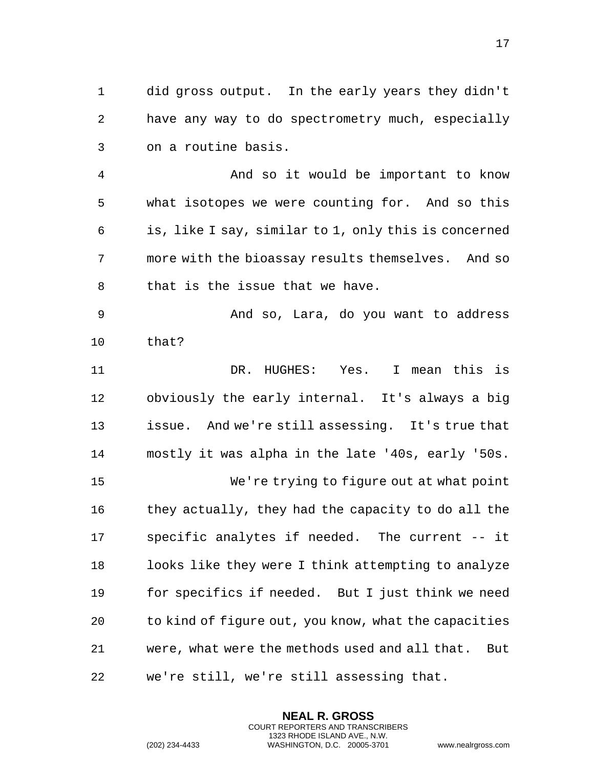did gross output. In the early years they didn't have any way to do spectrometry much, especially on a routine basis.

 And so it would be important to know what isotopes we were counting for. And so this is, like I say, similar to 1, only this is concerned more with the bioassay results themselves. And so that is the issue that we have.

 And so, Lara, do you want to address that?

 DR. HUGHES: Yes. I mean this is obviously the early internal. It's always a big issue. And we're still assessing. It's true that mostly it was alpha in the late '40s, early '50s. We're trying to figure out at what point they actually, they had the capacity to do all the specific analytes if needed. The current -- it looks like they were I think attempting to analyze for specifics if needed. But I just think we need to kind of figure out, you know, what the capacities were, what were the methods used and all that. But we're still, we're still assessing that.

> **NEAL R. GROSS** COURT REPORTERS AND TRANSCRIBERS 1323 RHODE ISLAND AVE., N.W.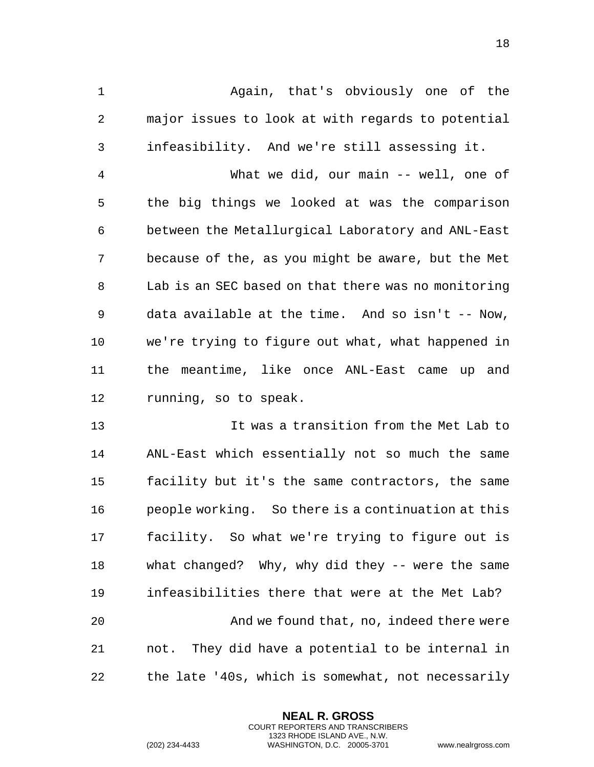Again, that's obviously one of the major issues to look at with regards to potential infeasibility. And we're still assessing it.

 What we did, our main -- well, one of the big things we looked at was the comparison between the Metallurgical Laboratory and ANL-East because of the, as you might be aware, but the Met Lab is an SEC based on that there was no monitoring data available at the time. And so isn't -- Now, we're trying to figure out what, what happened in the meantime, like once ANL-East came up and running, so to speak.

 It was a transition from the Met Lab to ANL-East which essentially not so much the same facility but it's the same contractors, the same people working. So there is a continuation at this facility. So what we're trying to figure out is what changed? Why, why did they -- were the same infeasibilities there that were at the Met Lab? And we found that, no, indeed there were not. They did have a potential to be internal in the late '40s, which is somewhat, not necessarily

> **NEAL R. GROSS** COURT REPORTERS AND TRANSCRIBERS 1323 RHODE ISLAND AVE., N.W.

(202) 234-4433 WASHINGTON, D.C. 20005-3701 www.nealrgross.com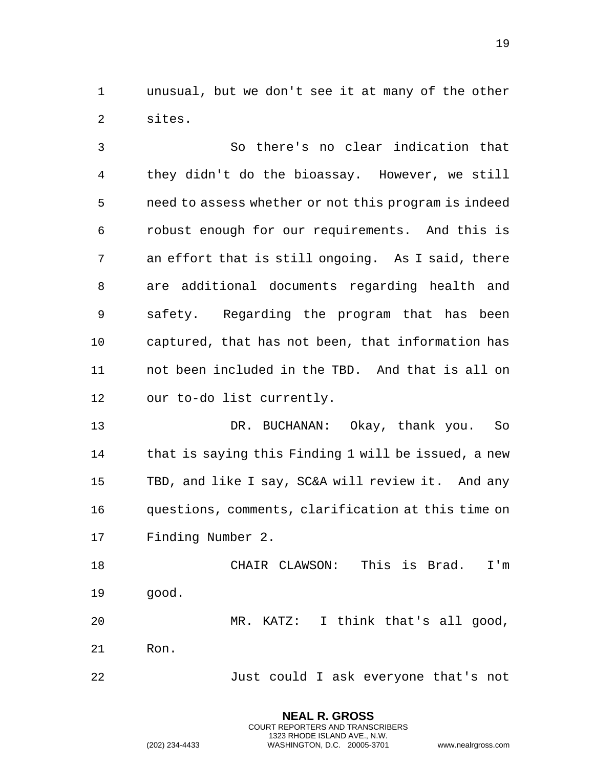unusual, but we don't see it at many of the other sites.

 So there's no clear indication that they didn't do the bioassay. However, we still need to assess whether or not this program is indeed robust enough for our requirements. And this is an effort that is still ongoing. As I said, there are additional documents regarding health and safety. Regarding the program that has been captured, that has not been, that information has not been included in the TBD. And that is all on our to-do list currently.

 DR. BUCHANAN: Okay, thank you. So that is saying this Finding 1 will be issued, a new TBD, and like I say, SC&A will review it. And any questions, comments, clarification at this time on Finding Number 2.

 CHAIR CLAWSON: This is Brad. I'm good.

 MR. KATZ: I think that's all good, Ron.

Just could I ask everyone that's not

**NEAL R. GROSS** COURT REPORTERS AND TRANSCRIBERS 1323 RHODE ISLAND AVE., N.W.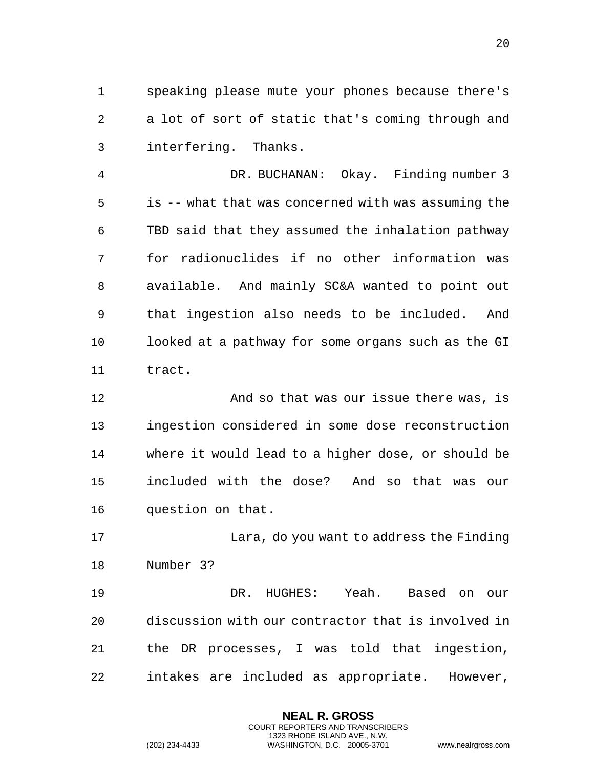speaking please mute your phones because there's a lot of sort of static that's coming through and interfering. Thanks.

 DR. BUCHANAN: Okay. Finding number 3 is -- what that was concerned with was assuming the TBD said that they assumed the inhalation pathway for radionuclides if no other information was available. And mainly SC&A wanted to point out that ingestion also needs to be included. And looked at a pathway for some organs such as the GI tract.

 And so that was our issue there was, is ingestion considered in some dose reconstruction where it would lead to a higher dose, or should be included with the dose? And so that was our question on that.

 Lara, do you want to address the Finding Number 3?

 DR. HUGHES: Yeah. Based on our discussion with our contractor that is involved in the DR processes, I was told that ingestion, intakes are included as appropriate. However,

> **NEAL R. GROSS** COURT REPORTERS AND TRANSCRIBERS 1323 RHODE ISLAND AVE., N.W.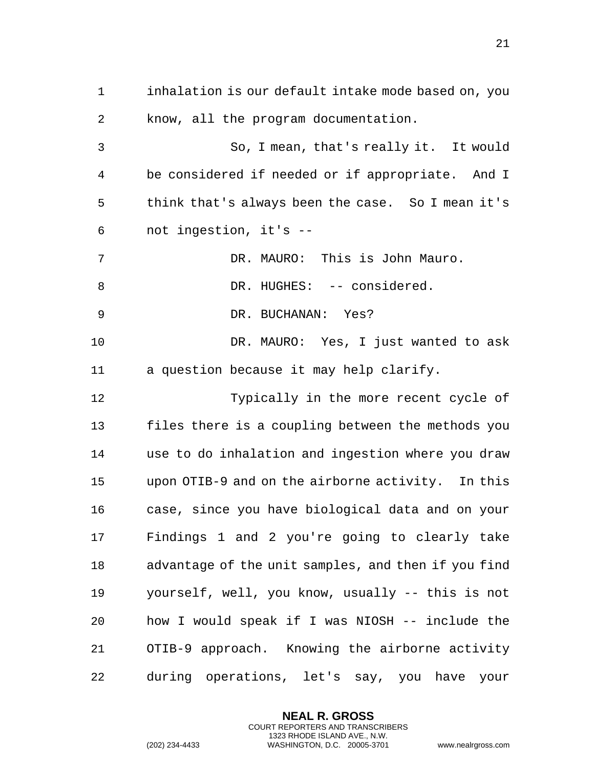inhalation is our default intake mode based on, you know, all the program documentation. So, I mean, that's really it. It would be considered if needed or if appropriate. And I think that's always been the case. So I mean it's not ingestion, it's -- DR. MAURO: This is John Mauro. 8 DR. HUGHES: -- considered. DR. BUCHANAN: Yes? DR. MAURO: Yes, I just wanted to ask a question because it may help clarify. Typically in the more recent cycle of files there is a coupling between the methods you use to do inhalation and ingestion where you draw upon OTIB-9 and on the airborne activity. In this case, since you have biological data and on your Findings 1 and 2 you're going to clearly take advantage of the unit samples, and then if you find yourself, well, you know, usually -- this is not how I would speak if I was NIOSH -- include the OTIB-9 approach. Knowing the airborne activity during operations, let's say, you have your

> **NEAL R. GROSS** COURT REPORTERS AND TRANSCRIBERS 1323 RHODE ISLAND AVE., N.W.

(202) 234-4433 WASHINGTON, D.C. 20005-3701 www.nealrgross.com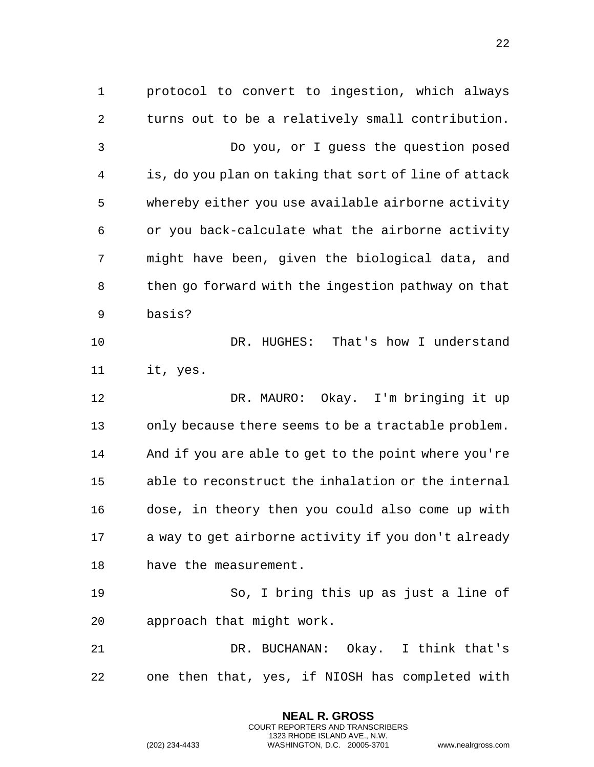protocol to convert to ingestion, which always turns out to be a relatively small contribution. Do you, or I guess the question posed is, do you plan on taking that sort of line of attack whereby either you use available airborne activity or you back-calculate what the airborne activity might have been, given the biological data, and then go forward with the ingestion pathway on that basis? 10 DR. HUGHES: That's how I understand it, yes. DR. MAURO: Okay. I'm bringing it up only because there seems to be a tractable problem. And if you are able to get to the point where you're able to reconstruct the inhalation or the internal dose, in theory then you could also come up with a way to get airborne activity if you don't already have the measurement. So, I bring this up as just a line of approach that might work. DR. BUCHANAN: Okay. I think that's one then that, yes, if NIOSH has completed with

> **NEAL R. GROSS** COURT REPORTERS AND TRANSCRIBERS 1323 RHODE ISLAND AVE., N.W.

(202) 234-4433 WASHINGTON, D.C. 20005-3701 www.nealrgross.com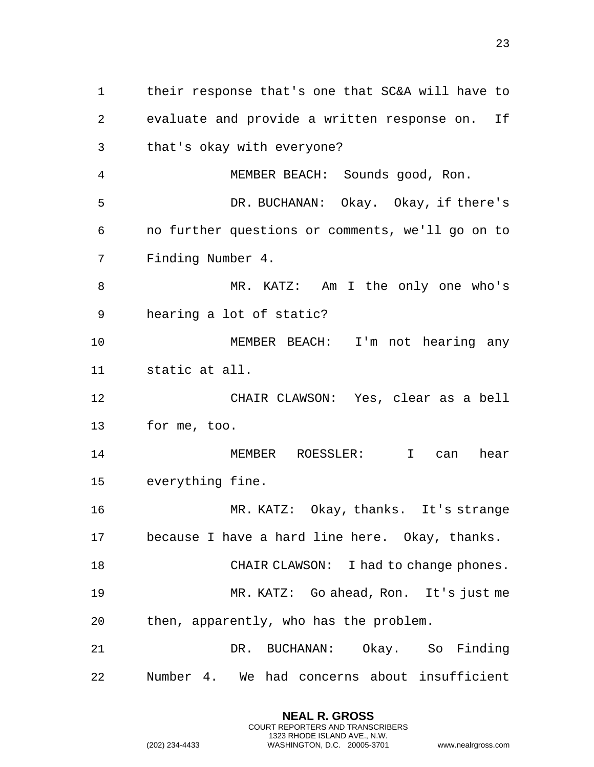their response that's one that SC&A will have to evaluate and provide a written response on. If that's okay with everyone? MEMBER BEACH: Sounds good, Ron. DR. BUCHANAN: Okay. Okay, if there's no further questions or comments, we'll go on to Finding Number 4. MR. KATZ: Am I the only one who's hearing a lot of static? MEMBER BEACH: I'm not hearing any static at all. CHAIR CLAWSON: Yes, clear as a bell for me, too. MEMBER ROESSLER: I can hear everything fine. MR. KATZ: Okay, thanks. It's strange because I have a hard line here. Okay, thanks. 18 CHAIR CLAWSON: I had to change phones. MR. KATZ: Go ahead, Ron. It's just me then, apparently, who has the problem. DR. BUCHANAN: Okay. So Finding Number 4. We had concerns about insufficient

> **NEAL R. GROSS** COURT REPORTERS AND TRANSCRIBERS 1323 RHODE ISLAND AVE., N.W.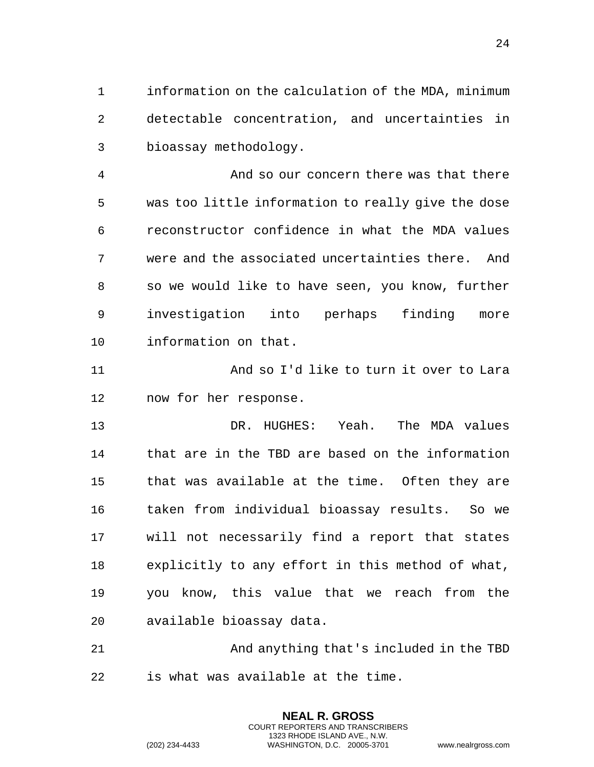information on the calculation of the MDA, minimum detectable concentration, and uncertainties in bioassay methodology.

 And so our concern there was that there was too little information to really give the dose reconstructor confidence in what the MDA values were and the associated uncertainties there. And so we would like to have seen, you know, further investigation into perhaps finding more information on that.

 And so I'd like to turn it over to Lara now for her response.

 DR. HUGHES: Yeah. The MDA values that are in the TBD are based on the information that was available at the time. Often they are taken from individual bioassay results. So we will not necessarily find a report that states explicitly to any effort in this method of what, you know, this value that we reach from the available bioassay data.

 And anything that's included in the TBD is what was available at the time.

> **NEAL R. GROSS** COURT REPORTERS AND TRANSCRIBERS 1323 RHODE ISLAND AVE., N.W.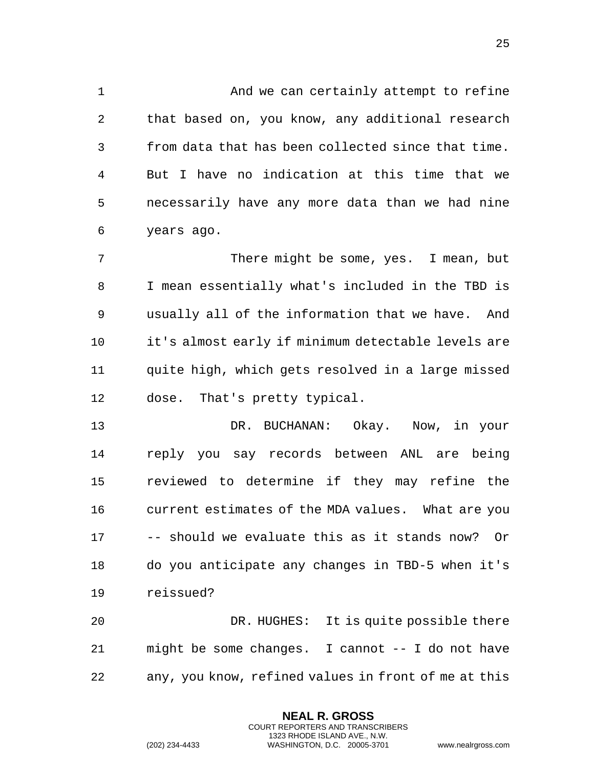And we can certainly attempt to refine that based on, you know, any additional research from data that has been collected since that time. But I have no indication at this time that we necessarily have any more data than we had nine years ago.

 There might be some, yes. I mean, but I mean essentially what's included in the TBD is usually all of the information that we have. And it's almost early if minimum detectable levels are quite high, which gets resolved in a large missed dose. That's pretty typical.

 DR. BUCHANAN: Okay. Now, in your reply you say records between ANL are being reviewed to determine if they may refine the current estimates of the MDA values. What are you -- should we evaluate this as it stands now? Or do you anticipate any changes in TBD-5 when it's reissued?

 DR. HUGHES: It is quite possible there might be some changes. I cannot -- I do not have any, you know, refined values in front of me at this

> **NEAL R. GROSS** COURT REPORTERS AND TRANSCRIBERS 1323 RHODE ISLAND AVE., N.W.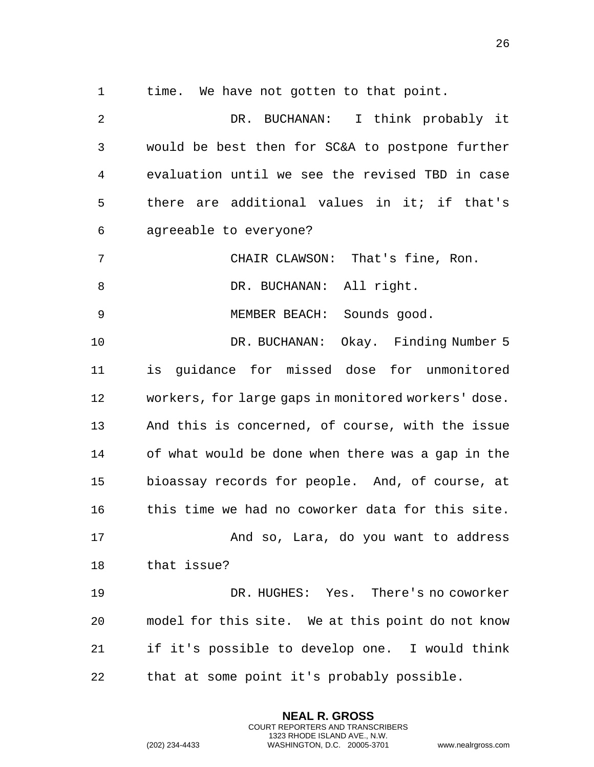time. We have not gotten to that point.

 DR. BUCHANAN: I think probably it would be best then for SC&A to postpone further evaluation until we see the revised TBD in case there are additional values in it; if that's agreeable to everyone? CHAIR CLAWSON: That's fine, Ron. 8 DR. BUCHANAN: All right. MEMBER BEACH: Sounds good. DR. BUCHANAN: Okay. Finding Number 5 is guidance for missed dose for unmonitored workers, for large gaps in monitored workers' dose. And this is concerned, of course, with the issue of what would be done when there was a gap in the bioassay records for people. And, of course, at this time we had no coworker data for this site. And so, Lara, do you want to address that issue? DR. HUGHES: Yes. There's no coworker model for this site. We at this point do not know if it's possible to develop one. I would think that at some point it's probably possible.

> **NEAL R. GROSS** COURT REPORTERS AND TRANSCRIBERS 1323 RHODE ISLAND AVE., N.W.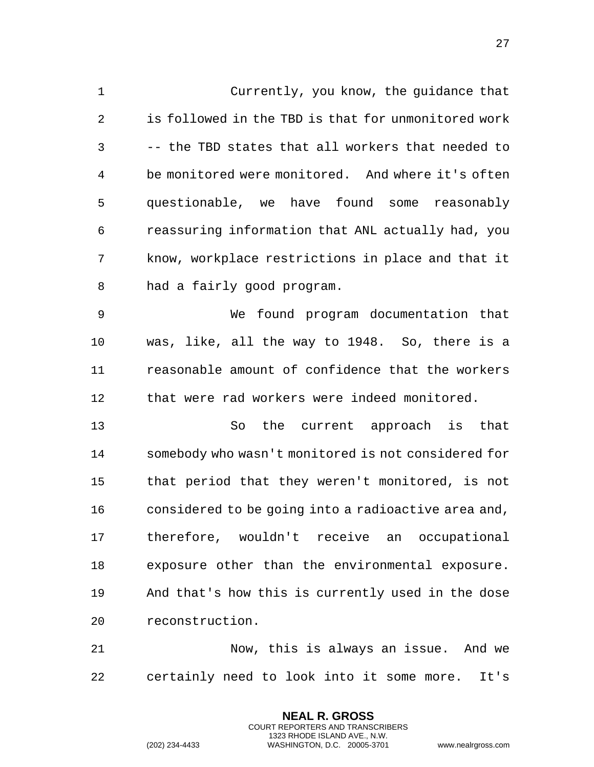Currently, you know, the guidance that is followed in the TBD is that for unmonitored work -- the TBD states that all workers that needed to be monitored were monitored. And where it's often questionable, we have found some reasonably reassuring information that ANL actually had, you know, workplace restrictions in place and that it had a fairly good program. We found program documentation that was, like, all the way to 1948. So, there is a reasonable amount of confidence that the workers that were rad workers were indeed monitored. So the current approach is that somebody who wasn't monitored is not considered for that period that they weren't monitored, is not considered to be going into a radioactive area and, therefore, wouldn't receive an occupational exposure other than the environmental exposure. And that's how this is currently used in the dose reconstruction.

 Now, this is always an issue. And we certainly need to look into it some more. It's

> **NEAL R. GROSS** COURT REPORTERS AND TRANSCRIBERS 1323 RHODE ISLAND AVE., N.W.

(202) 234-4433 WASHINGTON, D.C. 20005-3701 www.nealrgross.com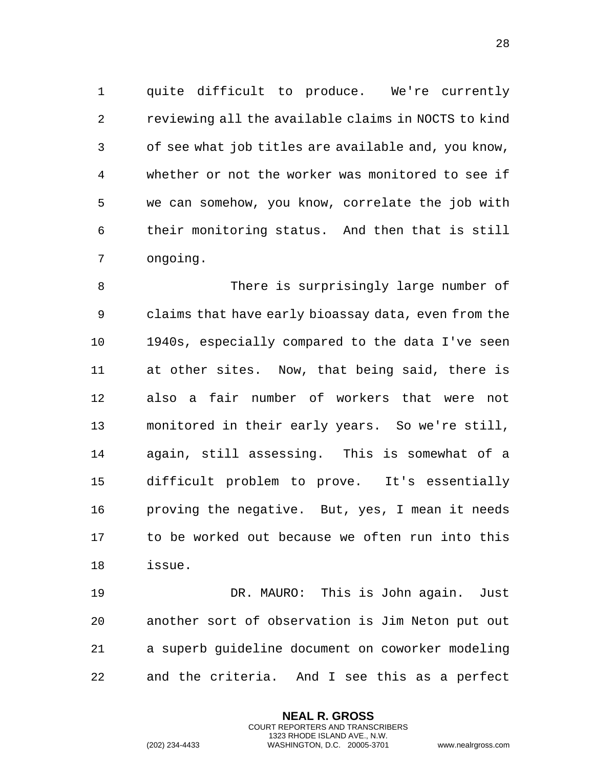quite difficult to produce. We're currently reviewing all the available claims in NOCTS to kind of see what job titles are available and, you know, whether or not the worker was monitored to see if we can somehow, you know, correlate the job with their monitoring status. And then that is still ongoing.

 There is surprisingly large number of claims that have early bioassay data, even from the 1940s, especially compared to the data I've seen at other sites. Now, that being said, there is also a fair number of workers that were not monitored in their early years. So we're still, again, still assessing. This is somewhat of a difficult problem to prove. It's essentially proving the negative. But, yes, I mean it needs to be worked out because we often run into this issue.

 DR. MAURO: This is John again. Just another sort of observation is Jim Neton put out a superb guideline document on coworker modeling and the criteria. And I see this as a perfect

> **NEAL R. GROSS** COURT REPORTERS AND TRANSCRIBERS 1323 RHODE ISLAND AVE., N.W.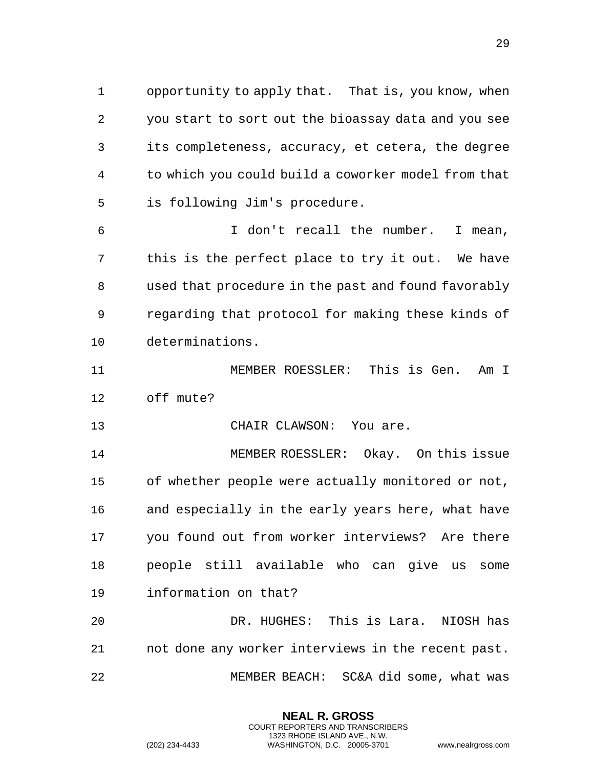opportunity to apply that. That is, you know, when you start to sort out the bioassay data and you see its completeness, accuracy, et cetera, the degree to which you could build a coworker model from that is following Jim's procedure.

 I don't recall the number. I mean, this is the perfect place to try it out. We have used that procedure in the past and found favorably regarding that protocol for making these kinds of determinations.

 MEMBER ROESSLER: This is Gen. Am I off mute?

13 CHAIR CLAWSON: You are.

 MEMBER ROESSLER: Okay. On this issue of whether people were actually monitored or not, and especially in the early years here, what have you found out from worker interviews? Are there people still available who can give us some information on that?

 DR. HUGHES: This is Lara. NIOSH has not done any worker interviews in the recent past. MEMBER BEACH: SC&A did some, what was

> **NEAL R. GROSS** COURT REPORTERS AND TRANSCRIBERS 1323 RHODE ISLAND AVE., N.W.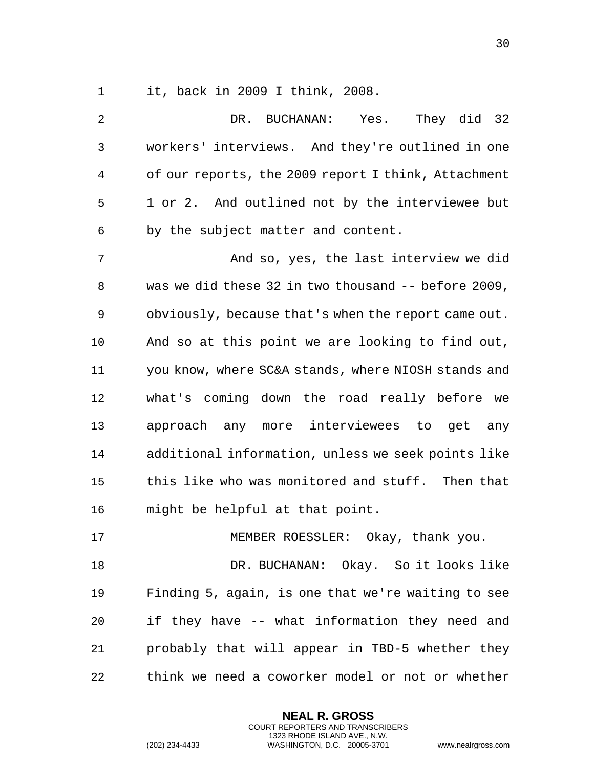it, back in 2009 I think, 2008.

| 2            | DR. BUCHANAN:<br>Yes. They did 32                   |
|--------------|-----------------------------------------------------|
| $\mathsf{3}$ | workers' interviews. And they're outlined in one    |
| 4            | of our reports, the 2009 report I think, Attachment |
| 5            | 1 or 2. And outlined not by the interviewee but     |
| 6            | by the subject matter and content.                  |
| 7            | And so, yes, the last interview we did              |
| 8            | was we did these 32 in two thousand -- before 2009, |
| 9            | obviously, because that's when the report came out. |
| 10           | And so at this point we are looking to find out,    |
| 11           | you know, where SC&A stands, where NIOSH stands and |
| 12           | what's coming down the road really before we        |
| 13           | approach any more interviewees to get any           |
| 14           | additional information, unless we seek points like  |
| 15           | this like who was monitored and stuff. Then that    |
| 16           | might be helpful at that point.                     |
| 17           | MEMBER ROESSLER: Okay, thank you.                   |
| 18           | DR. BUCHANAN: Okay. So it looks like                |
| 19           | Finding 5, again, is one that we're waiting to see  |
| 20           | if they have -- what information they need and      |
| 21           | probably that will appear in TBD-5 whether they     |
| 22           | think we need a coworker model or not or whether    |

**NEAL R. GROSS** COURT REPORTERS AND TRANSCRIBERS 1323 RHODE ISLAND AVE., N.W.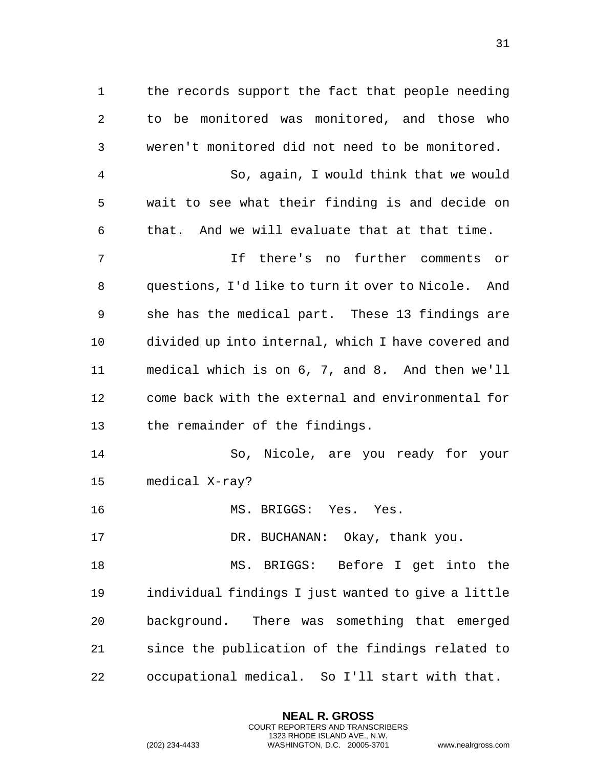the records support the fact that people needing to be monitored was monitored, and those who weren't monitored did not need to be monitored. So, again, I would think that we would wait to see what their finding is and decide on that. And we will evaluate that at that time. If there's no further comments or questions, I'd like to turn it over to Nicole. And she has the medical part. These 13 findings are divided up into internal, which I have covered and medical which is on 6, 7, and 8. And then we'll come back with the external and environmental for the remainder of the findings. So, Nicole, are you ready for your medical X-ray? 16 MS. BRIGGS: Yes. Yes. 17 DR. BUCHANAN: Okay, thank you. MS. BRIGGS: Before I get into the individual findings I just wanted to give a little background. There was something that emerged since the publication of the findings related to occupational medical. So I'll start with that.

> **NEAL R. GROSS** COURT REPORTERS AND TRANSCRIBERS 1323 RHODE ISLAND AVE., N.W.

(202) 234-4433 WASHINGTON, D.C. 20005-3701 www.nealrgross.com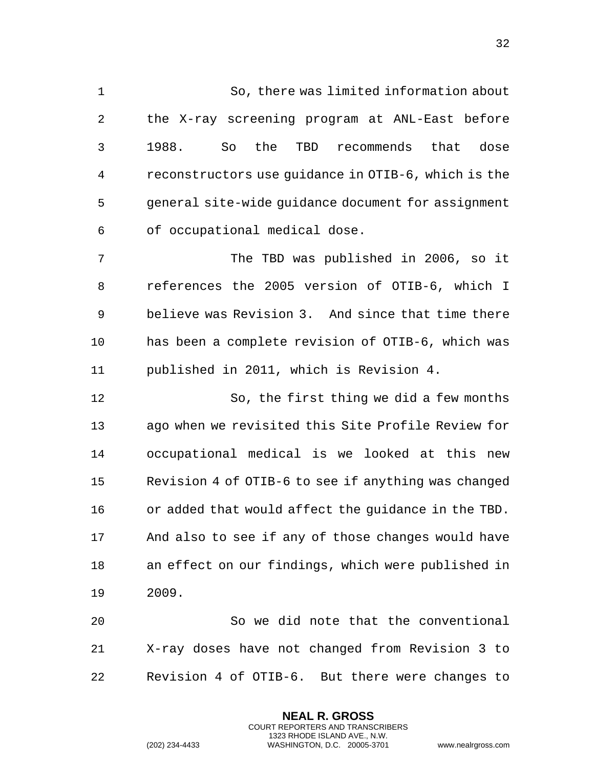So, there was limited information about the X-ray screening program at ANL-East before 1988. So the TBD recommends that dose reconstructors use guidance in OTIB-6, which is the general site-wide guidance document for assignment of occupational medical dose.

 The TBD was published in 2006, so it references the 2005 version of OTIB-6, which I believe was Revision 3. And since that time there has been a complete revision of OTIB-6, which was published in 2011, which is Revision 4.

 So, the first thing we did a few months ago when we revisited this Site Profile Review for occupational medical is we looked at this new Revision 4 of OTIB-6 to see if anything was changed or added that would affect the guidance in the TBD. And also to see if any of those changes would have an effect on our findings, which were published in 2009.

 So we did note that the conventional X-ray doses have not changed from Revision 3 to Revision 4 of OTIB-6. But there were changes to

> **NEAL R. GROSS** COURT REPORTERS AND TRANSCRIBERS 1323 RHODE ISLAND AVE., N.W.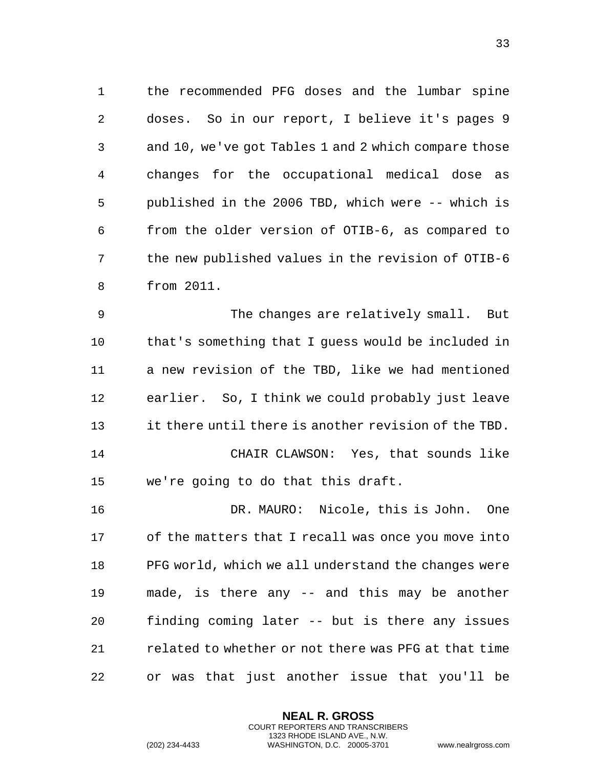the recommended PFG doses and the lumbar spine doses. So in our report, I believe it's pages 9 and 10, we've got Tables 1 and 2 which compare those changes for the occupational medical dose as published in the 2006 TBD, which were -- which is from the older version of OTIB-6, as compared to the new published values in the revision of OTIB-6 from 2011.

 The changes are relatively small. But that's something that I guess would be included in a new revision of the TBD, like we had mentioned earlier. So, I think we could probably just leave it there until there is another revision of the TBD. CHAIR CLAWSON: Yes, that sounds like we're going to do that this draft.

 DR. MAURO: Nicole, this is John. One of the matters that I recall was once you move into PFG world, which we all understand the changes were made, is there any -- and this may be another finding coming later -- but is there any issues related to whether or not there was PFG at that time or was that just another issue that you'll be

> **NEAL R. GROSS** COURT REPORTERS AND TRANSCRIBERS 1323 RHODE ISLAND AVE., N.W.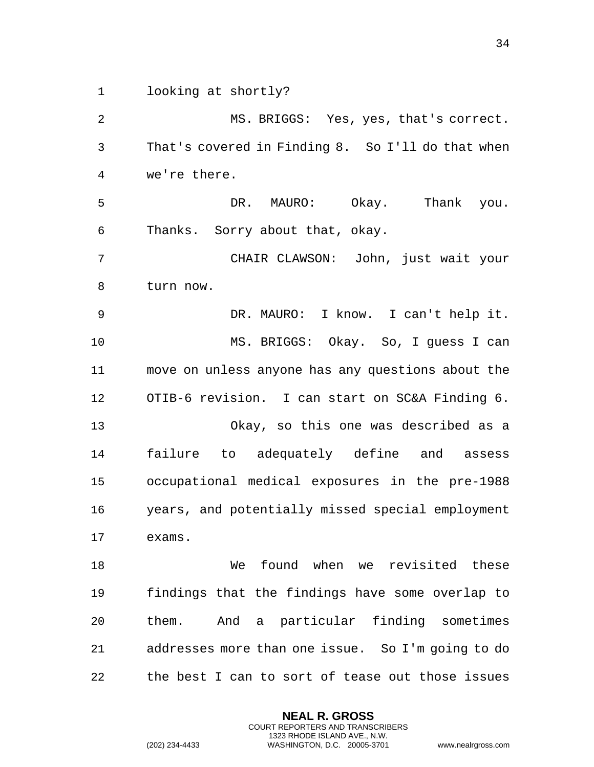looking at shortly?

 MS. BRIGGS: Yes, yes, that's correct. That's covered in Finding 8. So I'll do that when we're there. DR. MAURO: Okay. Thank you. Thanks. Sorry about that, okay. CHAIR CLAWSON: John, just wait your turn now. DR. MAURO: I know. I can't help it. MS. BRIGGS: Okay. So, I guess I can move on unless anyone has any questions about the OTIB-6 revision. I can start on SC&A Finding 6. Okay, so this one was described as a failure to adequately define and assess occupational medical exposures in the pre-1988 years, and potentially missed special employment exams. We found when we revisited these findings that the findings have some overlap to them. And a particular finding sometimes addresses more than one issue. So I'm going to do the best I can to sort of tease out those issues

> **NEAL R. GROSS** COURT REPORTERS AND TRANSCRIBERS 1323 RHODE ISLAND AVE., N.W.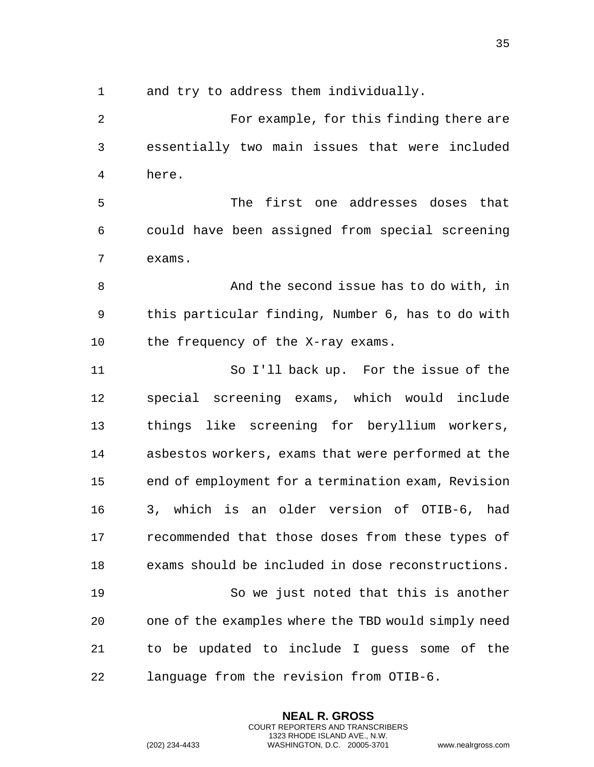and try to address them individually.

 For example, for this finding there are essentially two main issues that were included here. The first one addresses doses that could have been assigned from special screening exams. And the second issue has to do with, in this particular finding, Number 6, has to do with 10 the frequency of the X-ray exams. So I'll back up. For the issue of the special screening exams, which would include things like screening for beryllium workers, asbestos workers, exams that were performed at the end of employment for a termination exam, Revision 3, which is an older version of OTIB-6, had recommended that those doses from these types of exams should be included in dose reconstructions. So we just noted that this is another one of the examples where the TBD would simply need to be updated to include I guess some of the language from the revision from OTIB-6.

> **NEAL R. GROSS** COURT REPORTERS AND TRANSCRIBERS 1323 RHODE ISLAND AVE., N.W.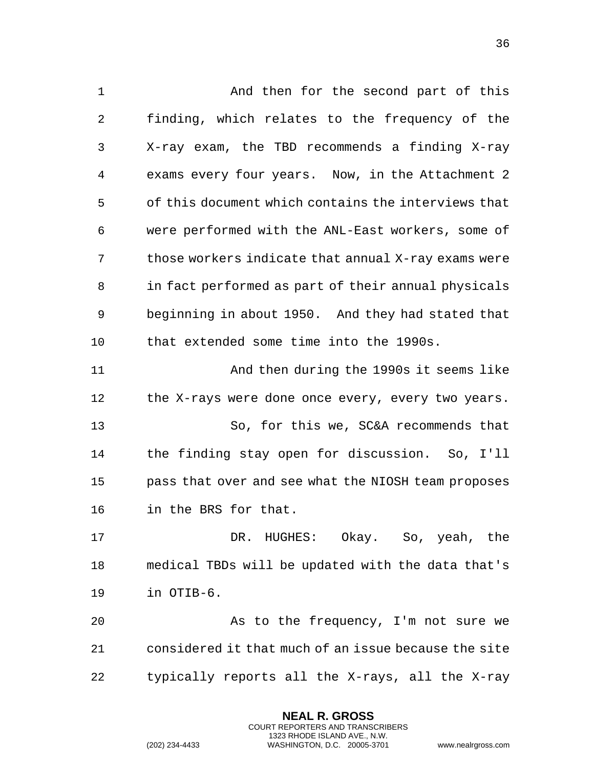And then for the second part of this finding, which relates to the frequency of the X-ray exam, the TBD recommends a finding X-ray exams every four years. Now, in the Attachment 2 of this document which contains the interviews that were performed with the ANL-East workers, some of those workers indicate that annual X-ray exams were in fact performed as part of their annual physicals beginning in about 1950. And they had stated that that extended some time into the 1990s. And then during the 1990s it seems like 12 the X-rays were done once every, every two years. So, for this we, SC&A recommends that the finding stay open for discussion. So, I'll pass that over and see what the NIOSH team proposes in the BRS for that. DR. HUGHES: Okay. So, yeah, the medical TBDs will be updated with the data that's in OTIB-6. As to the frequency, I'm not sure we considered it that much of an issue because the site typically reports all the X-rays, all the X-ray

> **NEAL R. GROSS** COURT REPORTERS AND TRANSCRIBERS 1323 RHODE ISLAND AVE., N.W.

(202) 234-4433 WASHINGTON, D.C. 20005-3701 www.nealrgross.com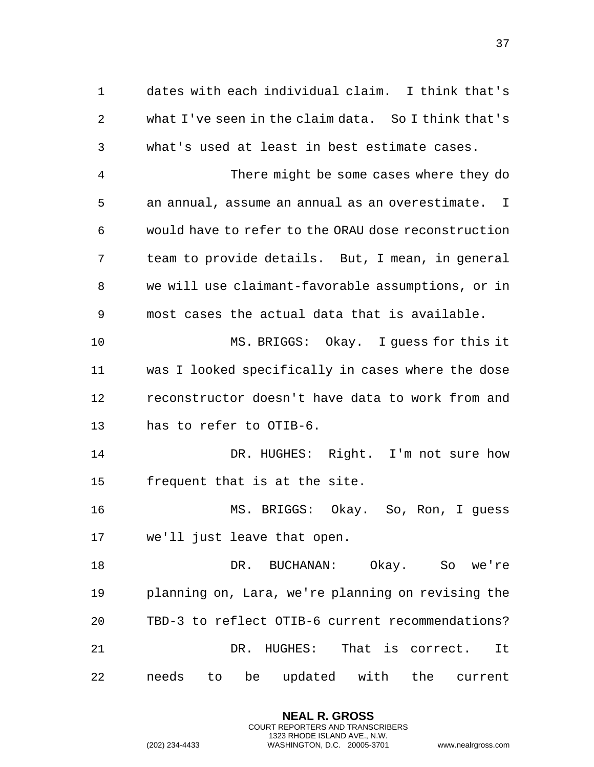dates with each individual claim. I think that's what I've seen in the claim data. So I think that's what's used at least in best estimate cases. There might be some cases where they do an annual, assume an annual as an overestimate. I would have to refer to the ORAU dose reconstruction team to provide details. But, I mean, in general we will use claimant-favorable assumptions, or in most cases the actual data that is available. MS. BRIGGS: Okay. I guess for this it was I looked specifically in cases where the dose reconstructor doesn't have data to work from and has to refer to OTIB-6. DR. HUGHES: Right. I'm not sure how frequent that is at the site. MS. BRIGGS: Okay. So, Ron, I guess we'll just leave that open. DR. BUCHANAN: Okay. So we're planning on, Lara, we're planning on revising the TBD-3 to reflect OTIB-6 current recommendations?

 DR. HUGHES: That is correct. It needs to be updated with the current

> **NEAL R. GROSS** COURT REPORTERS AND TRANSCRIBERS 1323 RHODE ISLAND AVE., N.W.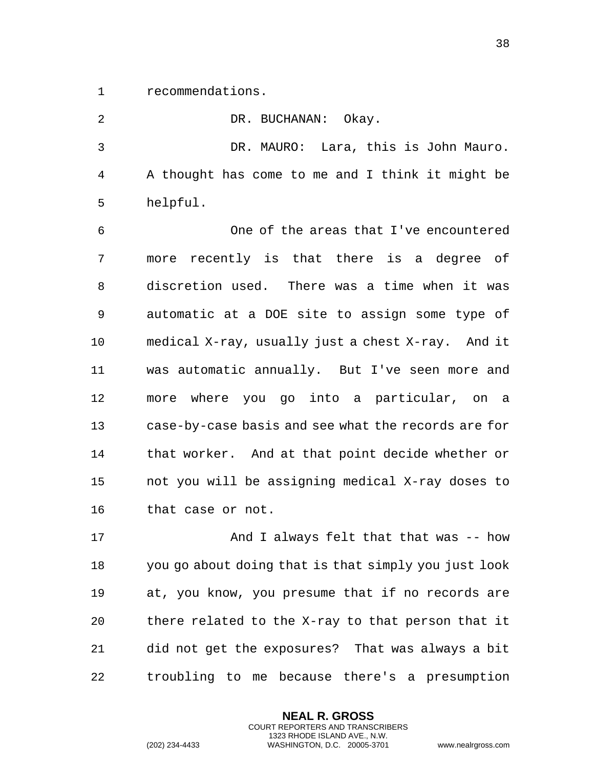recommendations.

| 2  | DR. BUCHANAN: Okay.                                  |
|----|------------------------------------------------------|
| 3  | DR. MAURO: Lara, this is John Mauro.                 |
| 4  | A thought has come to me and I think it might be     |
| 5  | helpful.                                             |
| 6  | One of the areas that I've encountered               |
| 7  | more recently is that there is a degree of           |
| 8  | discretion used. There was a time when it was        |
| 9  | automatic at a DOE site to assign some type of       |
| 10 | medical X-ray, usually just a chest X-ray. And it    |
| 11 | was automatic annually. But I've seen more and       |
| 12 | more where you go into a particular, on a            |
| 13 | case-by-case basis and see what the records are for  |
| 14 | that worker. And at that point decide whether or     |
| 15 | not you will be assigning medical X-ray doses to     |
| 16 | that case or not.                                    |
| 17 | And I always felt that that was -- how               |
| 18 | you go about doing that is that simply you just look |
| 19 | at, you know, you presume that if no records are     |
| 20 | there related to the X-ray to that person that it    |
| 21 | did not get the exposures? That was always a bit     |

**NEAL R. GROSS** COURT REPORTERS AND TRANSCRIBERS 1323 RHODE ISLAND AVE., N.W.

troubling to me because there's a presumption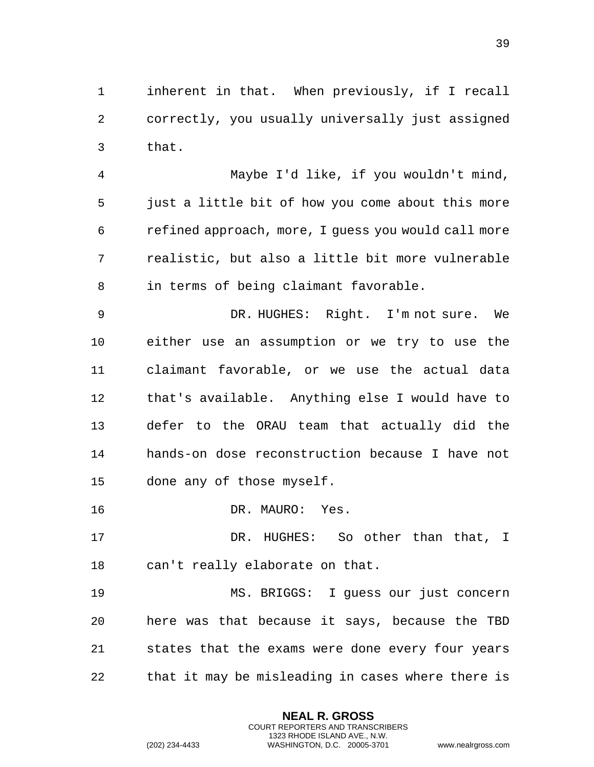inherent in that. When previously, if I recall correctly, you usually universally just assigned that.

 Maybe I'd like, if you wouldn't mind, just a little bit of how you come about this more refined approach, more, I guess you would call more realistic, but also a little bit more vulnerable in terms of being claimant favorable.

 DR. HUGHES: Right. I'm not sure. We either use an assumption or we try to use the claimant favorable, or we use the actual data that's available. Anything else I would have to defer to the ORAU team that actually did the hands-on dose reconstruction because I have not done any of those myself.

16 DR. MAURO: Yes.

17 DR. HUGHES: So other than that, I can't really elaborate on that.

 MS. BRIGGS: I guess our just concern here was that because it says, because the TBD states that the exams were done every four years that it may be misleading in cases where there is

> **NEAL R. GROSS** COURT REPORTERS AND TRANSCRIBERS 1323 RHODE ISLAND AVE., N.W.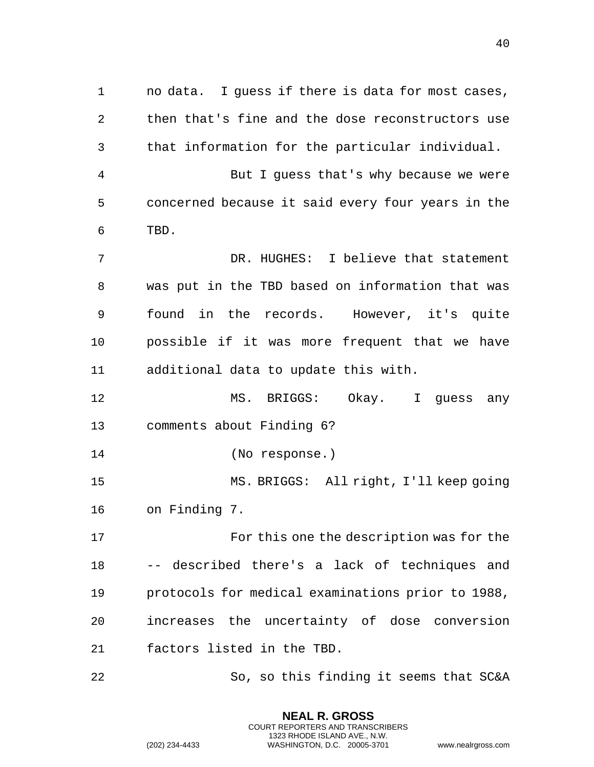no data. I guess if there is data for most cases, then that's fine and the dose reconstructors use that information for the particular individual. But I guess that's why because we were concerned because it said every four years in the TBD. DR. HUGHES: I believe that statement was put in the TBD based on information that was found in the records. However, it's quite possible if it was more frequent that we have additional data to update this with. MS. BRIGGS: Okay. I guess any comments about Finding 6? (No response.) MS. BRIGGS: All right, I'll keep going on Finding 7. For this one the description was for the -- described there's a lack of techniques and protocols for medical examinations prior to 1988, increases the uncertainty of dose conversion factors listed in the TBD. So, so this finding it seems that SC&A

> **NEAL R. GROSS** COURT REPORTERS AND TRANSCRIBERS 1323 RHODE ISLAND AVE., N.W.

(202) 234-4433 WASHINGTON, D.C. 20005-3701 www.nealrgross.com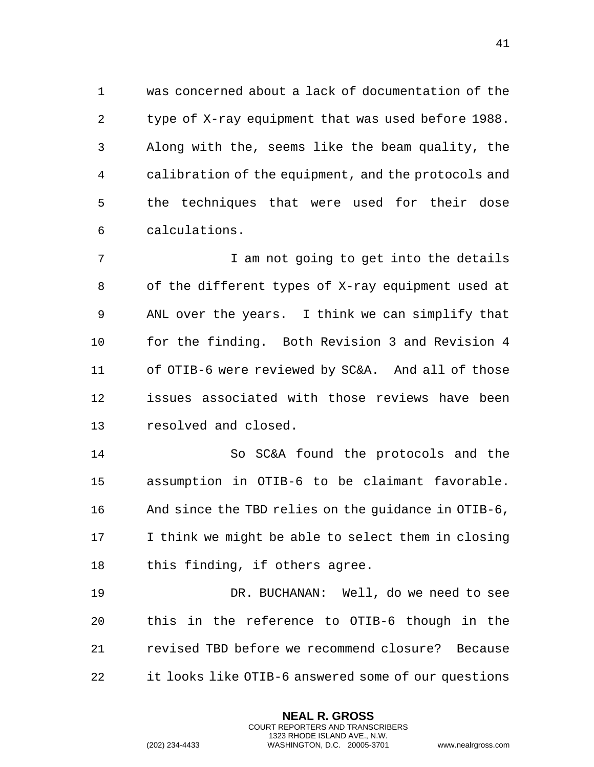was concerned about a lack of documentation of the type of X-ray equipment that was used before 1988. Along with the, seems like the beam quality, the calibration of the equipment, and the protocols and the techniques that were used for their dose calculations.

7 T am not going to get into the details of the different types of X-ray equipment used at ANL over the years. I think we can simplify that for the finding. Both Revision 3 and Revision 4 of OTIB-6 were reviewed by SC&A. And all of those issues associated with those reviews have been resolved and closed.

 So SC&A found the protocols and the assumption in OTIB-6 to be claimant favorable. And since the TBD relies on the guidance in OTIB-6, I think we might be able to select them in closing this finding, if others agree.

 DR. BUCHANAN: Well, do we need to see this in the reference to OTIB-6 though in the revised TBD before we recommend closure? Because it looks like OTIB-6 answered some of our questions

> **NEAL R. GROSS** COURT REPORTERS AND TRANSCRIBERS 1323 RHODE ISLAND AVE., N.W.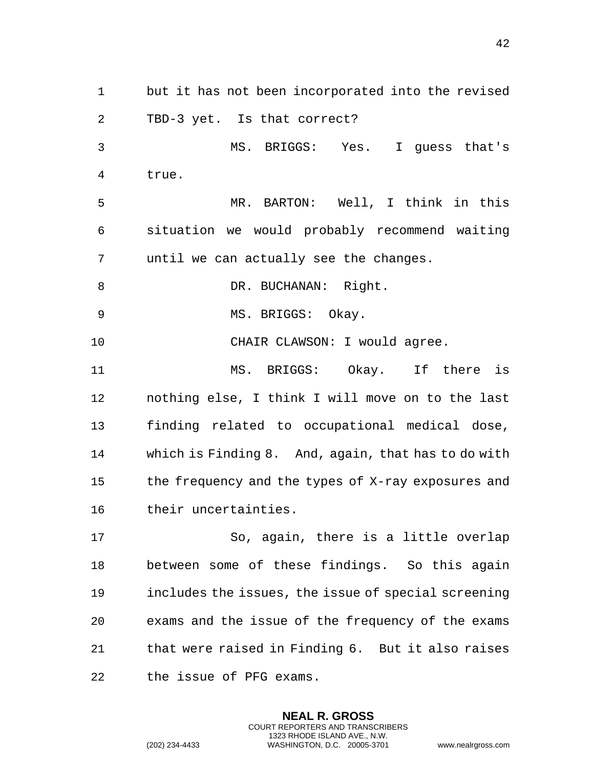but it has not been incorporated into the revised TBD-3 yet. Is that correct? MS. BRIGGS: Yes. I guess that's true. MR. BARTON: Well, I think in this situation we would probably recommend waiting until we can actually see the changes. 8 DR. BUCHANAN: Right. 9 MS. BRIGGS: Okay. 10 CHAIR CLAWSON: I would agree. MS. BRIGGS: Okay. If there is nothing else, I think I will move on to the last finding related to occupational medical dose, which is Finding 8. And, again, that has to do with the frequency and the types of X-ray exposures and their uncertainties. So, again, there is a little overlap between some of these findings. So this again includes the issues, the issue of special screening exams and the issue of the frequency of the exams that were raised in Finding 6. But it also raises

> **NEAL R. GROSS** COURT REPORTERS AND TRANSCRIBERS 1323 RHODE ISLAND AVE., N.W.

the issue of PFG exams.

(202) 234-4433 WASHINGTON, D.C. 20005-3701 www.nealrgross.com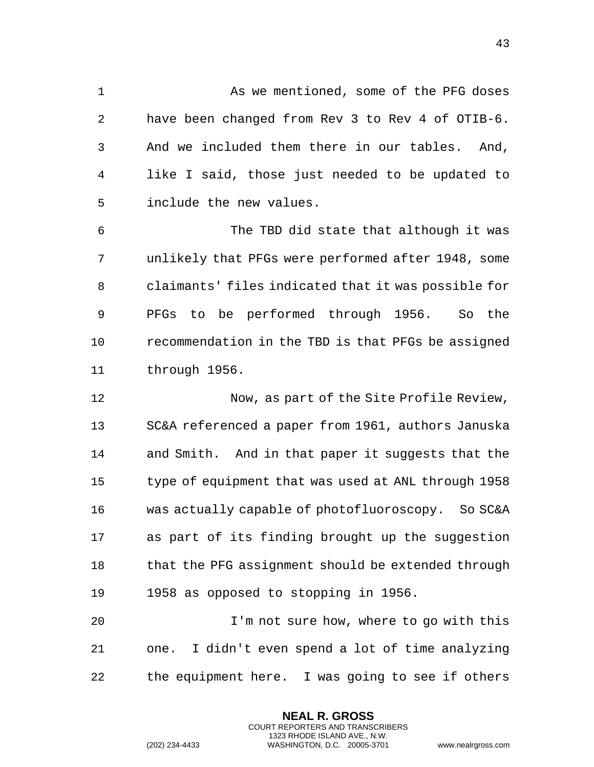As we mentioned, some of the PFG doses have been changed from Rev 3 to Rev 4 of OTIB-6. And we included them there in our tables. And, like I said, those just needed to be updated to include the new values.

 The TBD did state that although it was unlikely that PFGs were performed after 1948, some claimants' files indicated that it was possible for PFGs to be performed through 1956. So the recommendation in the TBD is that PFGs be assigned through 1956.

12 Now, as part of the Site Profile Review, SC&A referenced a paper from 1961, authors Januska and Smith. And in that paper it suggests that the type of equipment that was used at ANL through 1958 was actually capable of photofluoroscopy. So SC&A as part of its finding brought up the suggestion 18 that the PFG assignment should be extended through 1958 as opposed to stopping in 1956.

 I'm not sure how, where to go with this one. I didn't even spend a lot of time analyzing the equipment here. I was going to see if others

> **NEAL R. GROSS** COURT REPORTERS AND TRANSCRIBERS 1323 RHODE ISLAND AVE., N.W.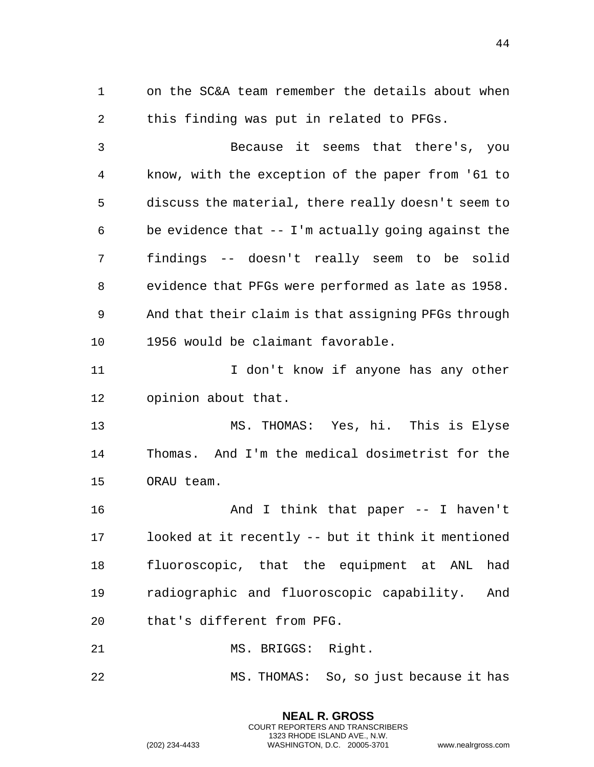on the SC&A team remember the details about when this finding was put in related to PFGs.

 Because it seems that there's, you know, with the exception of the paper from '61 to discuss the material, there really doesn't seem to be evidence that -- I'm actually going against the findings -- doesn't really seem to be solid evidence that PFGs were performed as late as 1958. And that their claim is that assigning PFGs through 1956 would be claimant favorable.

11 11 I don't know if anyone has any other opinion about that.

 MS. THOMAS: Yes, hi. This is Elyse Thomas. And I'm the medical dosimetrist for the ORAU team.

16 And I think that paper -- I haven't looked at it recently -- but it think it mentioned fluoroscopic, that the equipment at ANL had radiographic and fluoroscopic capability. And that's different from PFG.

21 MS. BRIGGS: Right.

MS. THOMAS: So, so just because it has

**NEAL R. GROSS** COURT REPORTERS AND TRANSCRIBERS 1323 RHODE ISLAND AVE., N.W.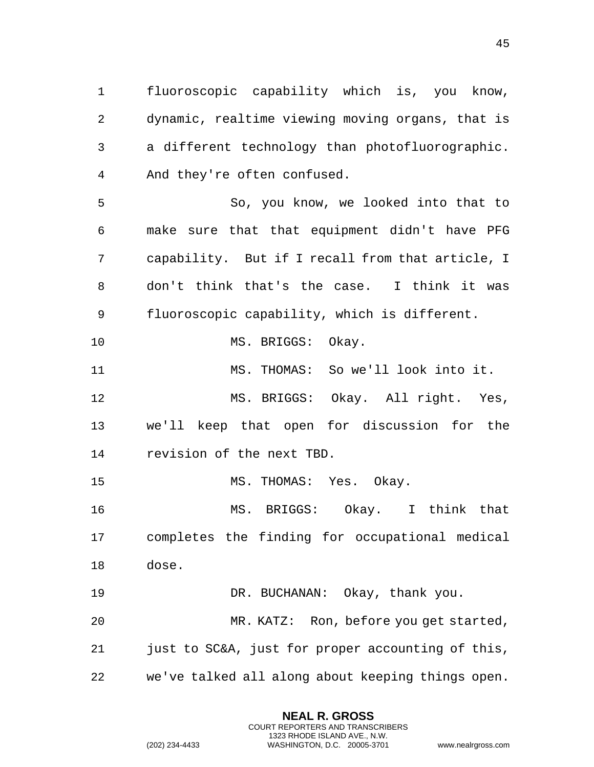fluoroscopic capability which is, you know, dynamic, realtime viewing moving organs, that is a different technology than photofluorographic. And they're often confused.

 So, you know, we looked into that to make sure that that equipment didn't have PFG capability. But if I recall from that article, I don't think that's the case. I think it was fluoroscopic capability, which is different.

10 MS. BRIGGS: Okay.

MS. THOMAS: So we'll look into it.

 MS. BRIGGS: Okay. All right. Yes, we'll keep that open for discussion for the revision of the next TBD.

MS. THOMAS: Yes. Okay.

 MS. BRIGGS: Okay. I think that completes the finding for occupational medical dose.

DR. BUCHANAN: Okay, thank you.

 MR. KATZ: Ron, before you get started, just to SC&A, just for proper accounting of this, we've talked all along about keeping things open.

> **NEAL R. GROSS** COURT REPORTERS AND TRANSCRIBERS 1323 RHODE ISLAND AVE., N.W.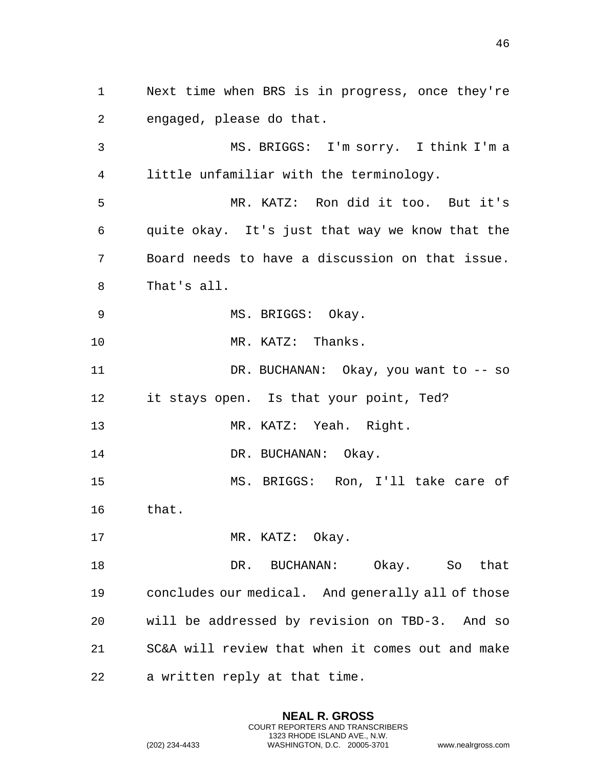Next time when BRS is in progress, once they're engaged, please do that. MS. BRIGGS: I'm sorry. I think I'm a little unfamiliar with the terminology. MR. KATZ: Ron did it too. But it's quite okay. It's just that way we know that the Board needs to have a discussion on that issue. That's all. 9 MS. BRIGGS: Okay. 10 MR. KATZ: Thanks. DR. BUCHANAN: Okay, you want to -- so it stays open. Is that your point, Ted? MR. KATZ: Yeah. Right. 14 DR. BUCHANAN: Okay. MS. BRIGGS: Ron, I'll take care of that. 17 MR. KATZ: Okay. DR. BUCHANAN: Okay. So that concludes our medical. And generally all of those will be addressed by revision on TBD-3. And so SC&A will review that when it comes out and make a written reply at that time.

> **NEAL R. GROSS** COURT REPORTERS AND TRANSCRIBERS 1323 RHODE ISLAND AVE., N.W.

(202) 234-4433 WASHINGTON, D.C. 20005-3701 www.nealrgross.com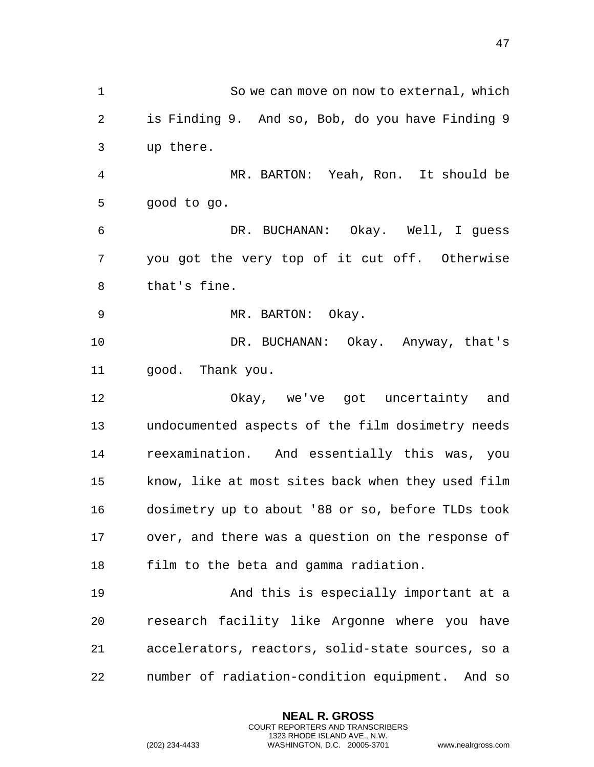So we can move on now to external, which is Finding 9. And so, Bob, do you have Finding 9 up there. MR. BARTON: Yeah, Ron. It should be good to go. DR. BUCHANAN: Okay. Well, I guess you got the very top of it cut off. Otherwise that's fine. 9 MR. BARTON: Okay. 10 DR. BUCHANAN: Okay. Anyway, that's good. Thank you. Okay, we've got uncertainty and undocumented aspects of the film dosimetry needs reexamination. And essentially this was, you know, like at most sites back when they used film dosimetry up to about '88 or so, before TLDs took over, and there was a question on the response of film to the beta and gamma radiation. And this is especially important at a research facility like Argonne where you have accelerators, reactors, solid-state sources, so a number of radiation-condition equipment. And so

> **NEAL R. GROSS** COURT REPORTERS AND TRANSCRIBERS 1323 RHODE ISLAND AVE., N.W.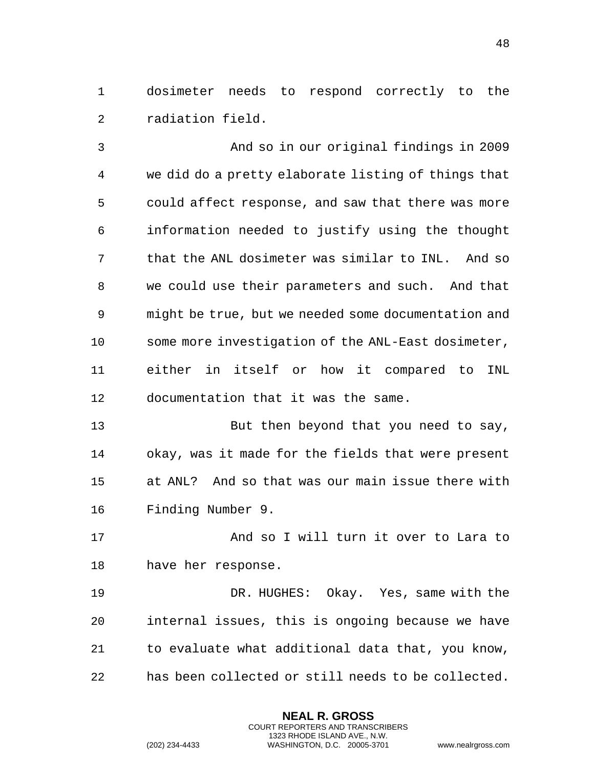dosimeter needs to respond correctly to the radiation field.

 And so in our original findings in 2009 we did do a pretty elaborate listing of things that could affect response, and saw that there was more information needed to justify using the thought that the ANL dosimeter was similar to INL. And so we could use their parameters and such. And that might be true, but we needed some documentation and some more investigation of the ANL-East dosimeter, either in itself or how it compared to INL documentation that it was the same.

 But then beyond that you need to say, okay, was it made for the fields that were present at ANL? And so that was our main issue there with Finding Number 9.

 And so I will turn it over to Lara to have her response.

 DR. HUGHES: Okay. Yes, same with the internal issues, this is ongoing because we have to evaluate what additional data that, you know, has been collected or still needs to be collected.

> **NEAL R. GROSS** COURT REPORTERS AND TRANSCRIBERS 1323 RHODE ISLAND AVE., N.W.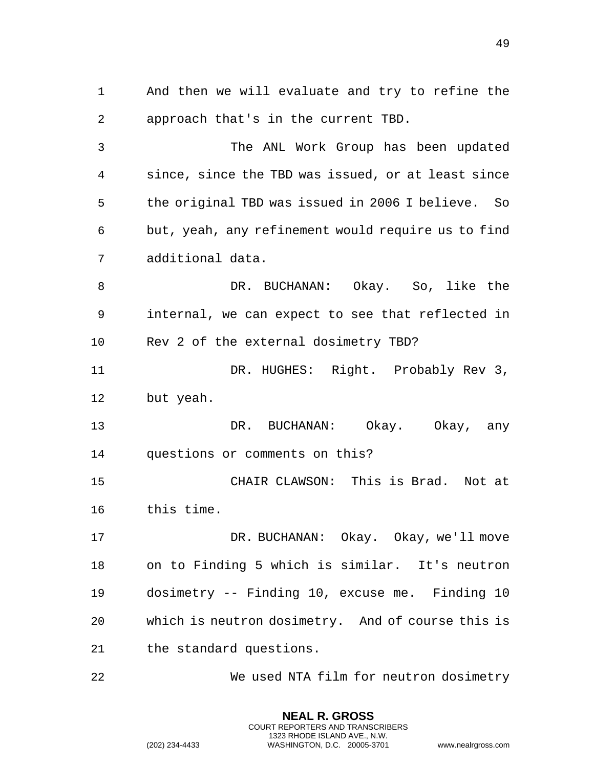And then we will evaluate and try to refine the approach that's in the current TBD. The ANL Work Group has been updated since, since the TBD was issued, or at least since the original TBD was issued in 2006 I believe. So but, yeah, any refinement would require us to find additional data. DR. BUCHANAN: Okay. So, like the internal, we can expect to see that reflected in Rev 2 of the external dosimetry TBD? 11 DR. HUGHES: Right. Probably Rev 3, but yeah. DR. BUCHANAN: Okay. Okay, any questions or comments on this? CHAIR CLAWSON: This is Brad. Not at this time. 17 DR. BUCHANAN: Okay. Okay, we'll move on to Finding 5 which is similar. It's neutron dosimetry -- Finding 10, excuse me. Finding 10 which is neutron dosimetry. And of course this is the standard questions. We used NTA film for neutron dosimetry

> **NEAL R. GROSS** COURT REPORTERS AND TRANSCRIBERS 1323 RHODE ISLAND AVE., N.W.

(202) 234-4433 WASHINGTON, D.C. 20005-3701 www.nealrgross.com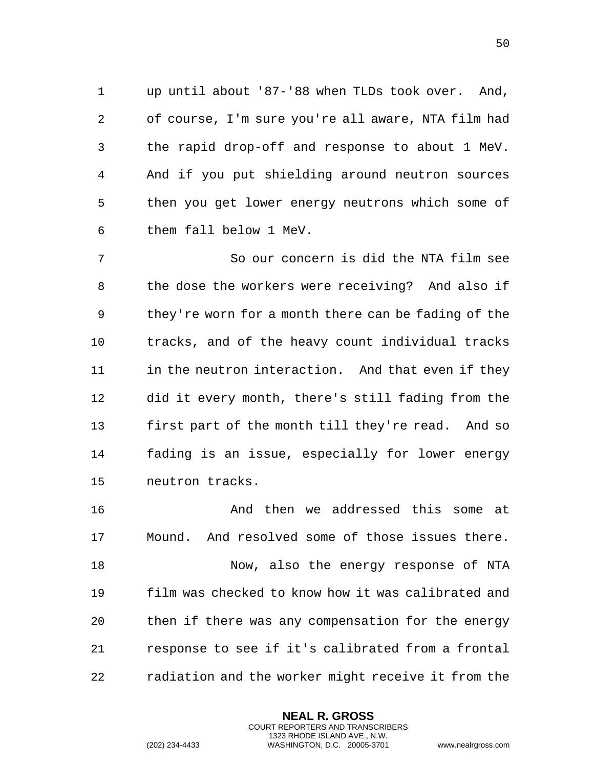up until about '87-'88 when TLDs took over. And, of course, I'm sure you're all aware, NTA film had the rapid drop-off and response to about 1 MeV. And if you put shielding around neutron sources then you get lower energy neutrons which some of them fall below 1 MeV.

 So our concern is did the NTA film see the dose the workers were receiving? And also if they're worn for a month there can be fading of the tracks, and of the heavy count individual tracks 11 in the neutron interaction. And that even if they did it every month, there's still fading from the first part of the month till they're read. And so fading is an issue, especially for lower energy neutron tracks.

 And then we addressed this some at Mound. And resolved some of those issues there. Now, also the energy response of NTA film was checked to know how it was calibrated and then if there was any compensation for the energy response to see if it's calibrated from a frontal radiation and the worker might receive it from the

> **NEAL R. GROSS** COURT REPORTERS AND TRANSCRIBERS 1323 RHODE ISLAND AVE., N.W.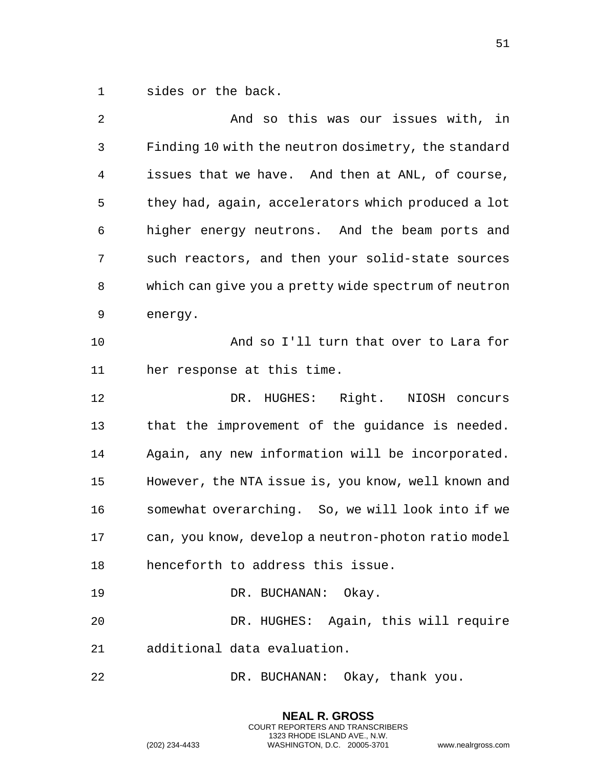sides or the back.

| 2              | And so this was our issues with, in                  |
|----------------|------------------------------------------------------|
| 3              | Finding 10 with the neutron dosimetry, the standard  |
| $\overline{4}$ | issues that we have. And then at ANL, of course,     |
| 5              | they had, again, accelerators which produced a lot   |
| 6              | higher energy neutrons. And the beam ports and       |
| 7              | such reactors, and then your solid-state sources     |
| 8              | which can give you a pretty wide spectrum of neutron |
| 9              | energy.                                              |
| 10             | And so I'll turn that over to Lara for               |
| 11             | her response at this time.                           |
| 12             | DR. HUGHES: Right. NIOSH concurs                     |
| 13             | that the improvement of the guidance is needed.      |
| 14             | Again, any new information will be incorporated.     |
| 15             | However, the NTA issue is, you know, well known and  |
| 16             | somewhat overarching. So, we will look into if we    |
| 17             | can, you know, develop a neutron-photon ratio model  |
| 18             | henceforth to address this issue.                    |
| 19             | DR. BUCHANAN: Okay.                                  |
| 20             | DR. HUGHES: Again, this will require                 |
| 21             | additional data evaluation.                          |
| 22             | DR. BUCHANAN: Okay, thank you.                       |

**NEAL R. GROSS** COURT REPORTERS AND TRANSCRIBERS 1323 RHODE ISLAND AVE., N.W.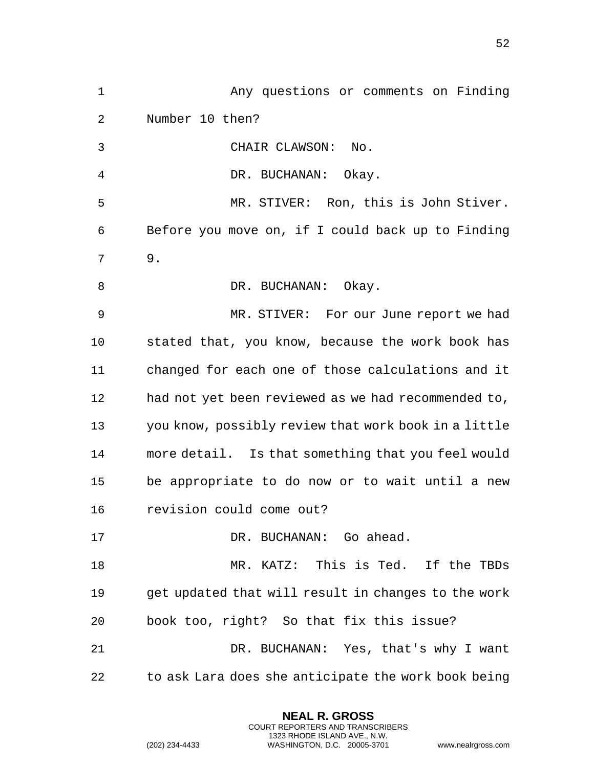Any questions or comments on Finding Number 10 then? CHAIR CLAWSON: No. DR. BUCHANAN: Okay. MR. STIVER: Ron, this is John Stiver. Before you move on, if I could back up to Finding 9. 8 DR. BUCHANAN: Okay. MR. STIVER: For our June report we had stated that, you know, because the work book has changed for each one of those calculations and it had not yet been reviewed as we had recommended to, you know, possibly review that work book in a little more detail. Is that something that you feel would be appropriate to do now or to wait until a new revision could come out? 17 DR. BUCHANAN: Go ahead. MR. KATZ: This is Ted. If the TBDs get updated that will result in changes to the work book too, right? So that fix this issue? DR. BUCHANAN: Yes, that's why I want to ask Lara does she anticipate the work book being

> **NEAL R. GROSS** COURT REPORTERS AND TRANSCRIBERS 1323 RHODE ISLAND AVE., N.W.

(202) 234-4433 WASHINGTON, D.C. 20005-3701 www.nealrgross.com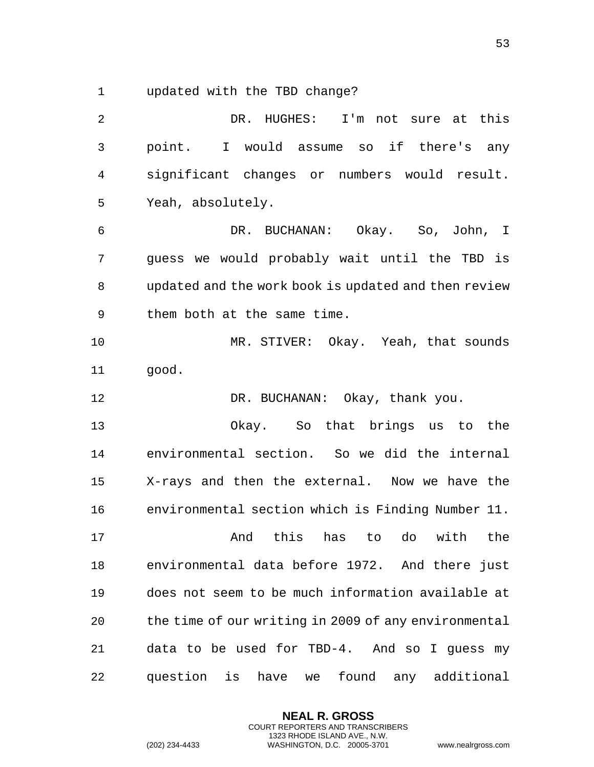updated with the TBD change?

 DR. HUGHES: I'm not sure at this point. I would assume so if there's any significant changes or numbers would result. Yeah, absolutely. DR. BUCHANAN: Okay. So, John, I guess we would probably wait until the TBD is updated and the work book is updated and then review them both at the same time. MR. STIVER: Okay. Yeah, that sounds good. 12 DR. BUCHANAN: Okay, thank you. Okay. So that brings us to the environmental section. So we did the internal X-rays and then the external. Now we have the environmental section which is Finding Number 11. And this has to do with the environmental data before 1972. And there just does not seem to be much information available at the time of our writing in 2009 of any environmental data to be used for TBD-4. And so I guess my question is have we found any additional

> **NEAL R. GROSS** COURT REPORTERS AND TRANSCRIBERS 1323 RHODE ISLAND AVE., N.W.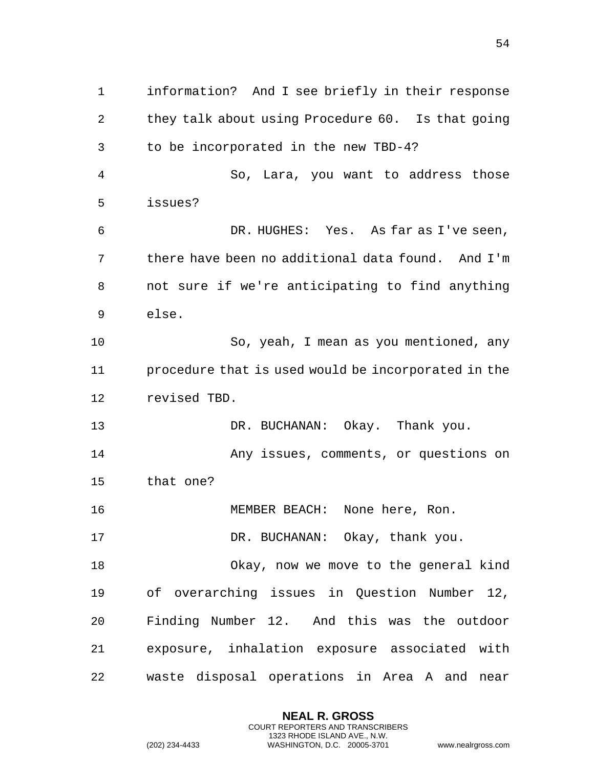information? And I see briefly in their response they talk about using Procedure 60. Is that going to be incorporated in the new TBD-4? So, Lara, you want to address those issues? DR. HUGHES: Yes. As far as I've seen, there have been no additional data found. And I'm not sure if we're anticipating to find anything else. So, yeah, I mean as you mentioned, any procedure that is used would be incorporated in the revised TBD. DR. BUCHANAN: Okay. Thank you. Any issues, comments, or questions on that one? MEMBER BEACH: None here, Ron. 17 DR. BUCHANAN: Okay, thank you. Okay, now we move to the general kind of overarching issues in Question Number 12, Finding Number 12. And this was the outdoor exposure, inhalation exposure associated with waste disposal operations in Area A and near

> **NEAL R. GROSS** COURT REPORTERS AND TRANSCRIBERS 1323 RHODE ISLAND AVE., N.W.

(202) 234-4433 WASHINGTON, D.C. 20005-3701 www.nealrgross.com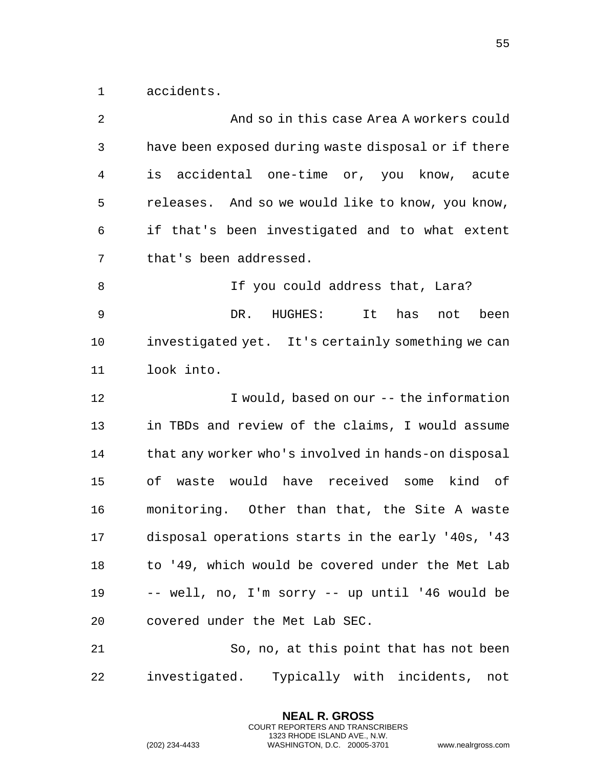accidents.

| 2  | And so in this case Area A workers could            |
|----|-----------------------------------------------------|
| 3  | have been exposed during waste disposal or if there |
| 4  | accidental one-time or, you know, acute<br>is       |
| 5  | releases. And so we would like to know, you know,   |
| 6  | if that's been investigated and to what extent      |
| 7  | that's been addressed.                              |
| 8  | If you could address that, Lara?                    |
| 9  | DR.<br>HUGHES:<br>It<br>has<br>been<br>not          |
| 10 | investigated yet. It's certainly something we can   |
| 11 | look into.                                          |
| 12 | I would, based on our -- the information            |
| 13 | in TBDs and review of the claims, I would assume    |
| 14 | that any worker who's involved in hands-on disposal |
| 15 | waste would have received some kind of<br>оf        |
| 16 | monitoring. Other than that, the Site A waste       |
| 17 | disposal operations starts in the early '40s, '43   |
| 18 | to '49, which would be covered under the Met Lab    |
| 19 | -- well, no, I'm sorry -- up until '46 would be     |
| 20 | covered under the Met Lab SEC.                      |
| 21 | So, no, at this point that has not been             |
| 22 | investigated. Typically with incidents,<br>not      |

**NEAL R. GROSS** COURT REPORTERS AND TRANSCRIBERS 1323 RHODE ISLAND AVE., N.W.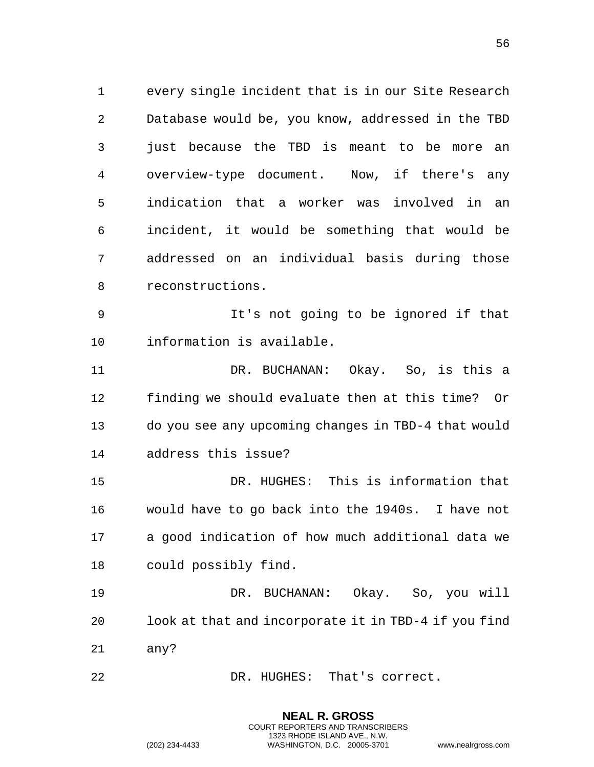every single incident that is in our Site Research Database would be, you know, addressed in the TBD just because the TBD is meant to be more an overview-type document. Now, if there's any indication that a worker was involved in an incident, it would be something that would be addressed on an individual basis during those reconstructions.

 It's not going to be ignored if that information is available.

 DR. BUCHANAN: Okay. So, is this a finding we should evaluate then at this time? Or do you see any upcoming changes in TBD-4 that would address this issue?

 DR. HUGHES: This is information that would have to go back into the 1940s. I have not a good indication of how much additional data we could possibly find.

 DR. BUCHANAN: Okay. So, you will look at that and incorporate it in TBD-4 if you find any?

> **NEAL R. GROSS** COURT REPORTERS AND TRANSCRIBERS 1323 RHODE ISLAND AVE., N.W.

22 DR. HUGHES: That's correct.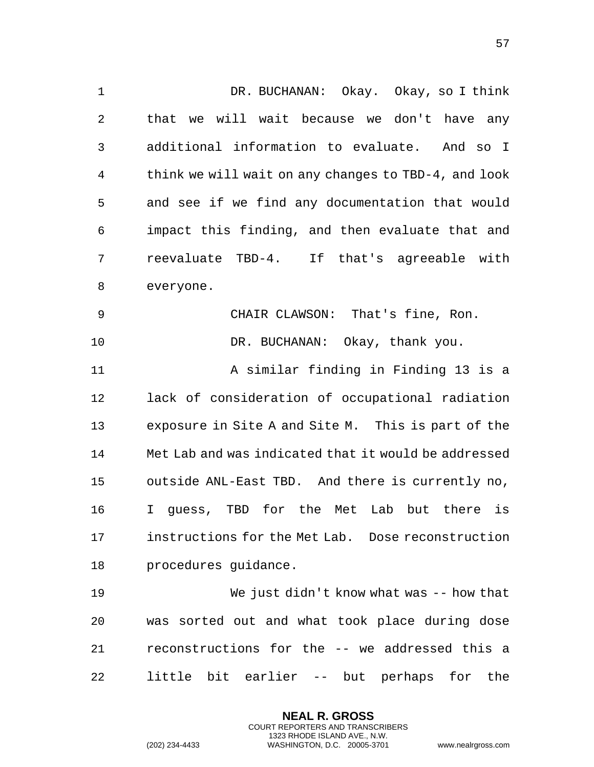DR. BUCHANAN: Okay. Okay, so I think that we will wait because we don't have any additional information to evaluate. And so I think we will wait on any changes to TBD-4, and look and see if we find any documentation that would impact this finding, and then evaluate that and reevaluate TBD-4. If that's agreeable with everyone. CHAIR CLAWSON: That's fine, Ron. DR. BUCHANAN: Okay, thank you. A similar finding in Finding 13 is a lack of consideration of occupational radiation exposure in Site A and Site M. This is part of the Met Lab and was indicated that it would be addressed outside ANL-East TBD. And there is currently no, I guess, TBD for the Met Lab but there is instructions for the Met Lab. Dose reconstruction procedures guidance. We just didn't know what was -- how that was sorted out and what took place during dose reconstructions for the -- we addressed this a

little bit earlier -- but perhaps for the

**NEAL R. GROSS** COURT REPORTERS AND TRANSCRIBERS 1323 RHODE ISLAND AVE., N.W.

(202) 234-4433 WASHINGTON, D.C. 20005-3701 www.nealrgross.com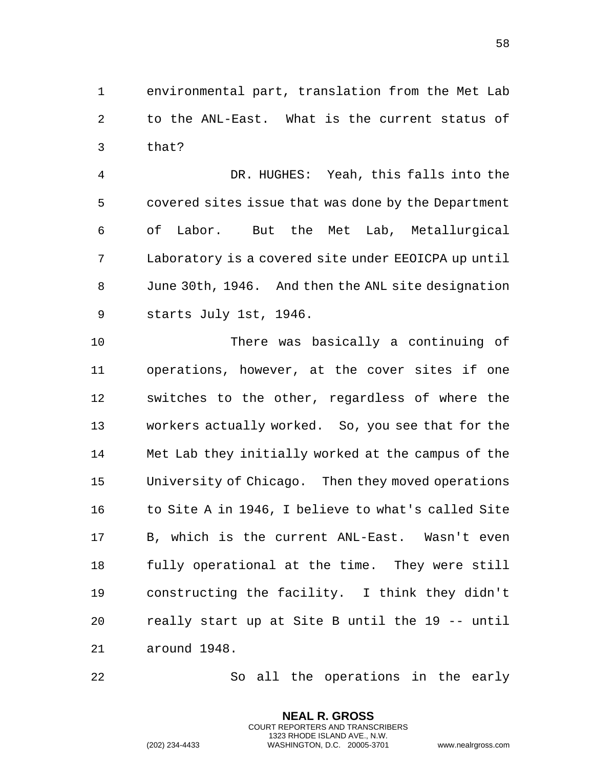environmental part, translation from the Met Lab to the ANL-East. What is the current status of that?

 DR. HUGHES: Yeah, this falls into the covered sites issue that was done by the Department of Labor. But the Met Lab, Metallurgical Laboratory is a covered site under EEOICPA up until June 30th, 1946. And then the ANL site designation starts July 1st, 1946.

 There was basically a continuing of operations, however, at the cover sites if one switches to the other, regardless of where the workers actually worked. So, you see that for the Met Lab they initially worked at the campus of the University of Chicago. Then they moved operations 16 to Site A in 1946, I believe to what's called Site B, which is the current ANL-East. Wasn't even fully operational at the time. They were still constructing the facility. I think they didn't really start up at Site B until the 19 -- until around 1948.

So all the operations in the early

**NEAL R. GROSS** COURT REPORTERS AND TRANSCRIBERS 1323 RHODE ISLAND AVE., N.W.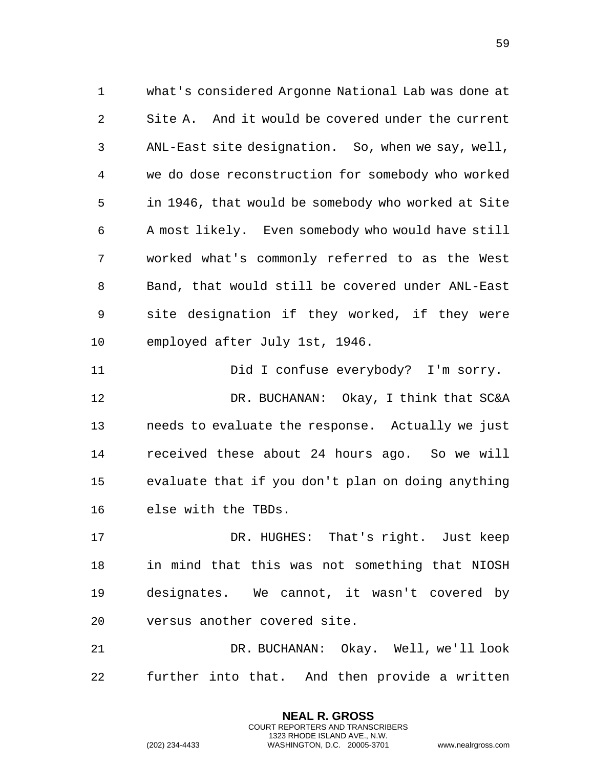what's considered Argonne National Lab was done at Site A. And it would be covered under the current ANL-East site designation. So, when we say, well, we do dose reconstruction for somebody who worked in 1946, that would be somebody who worked at Site A most likely. Even somebody who would have still worked what's commonly referred to as the West Band, that would still be covered under ANL-East site designation if they worked, if they were employed after July 1st, 1946.

 Did I confuse everybody? I'm sorry. DR. BUCHANAN: Okay, I think that SC&A needs to evaluate the response. Actually we just received these about 24 hours ago. So we will evaluate that if you don't plan on doing anything else with the TBDs.

 DR. HUGHES: That's right. Just keep in mind that this was not something that NIOSH designates. We cannot, it wasn't covered by versus another covered site.

 DR. BUCHANAN: Okay. Well, we'll look further into that. And then provide a written

> **NEAL R. GROSS** COURT REPORTERS AND TRANSCRIBERS 1323 RHODE ISLAND AVE., N.W.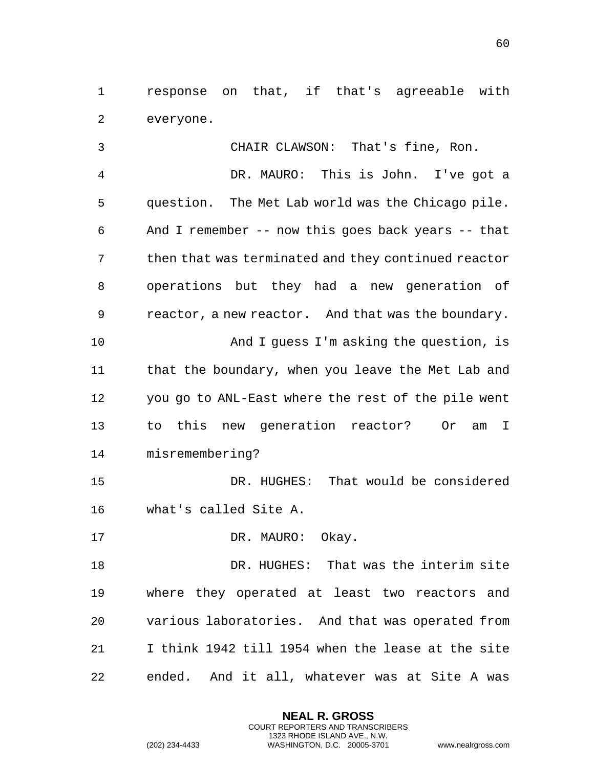response on that, if that's agreeable with everyone.

 CHAIR CLAWSON: That's fine, Ron. DR. MAURO: This is John. I've got a question. The Met Lab world was the Chicago pile. And I remember -- now this goes back years -- that then that was terminated and they continued reactor operations but they had a new generation of reactor, a new reactor. And that was the boundary. And I guess I'm asking the question, is 11 that the boundary, when you leave the Met Lab and you go to ANL-East where the rest of the pile went to this new generation reactor? Or am I misremembering? DR. HUGHES: That would be considered

- what's called Site A.
- 17 DR. MAURO: Okay.

 DR. HUGHES: That was the interim site where they operated at least two reactors and various laboratories. And that was operated from I think 1942 till 1954 when the lease at the site ended. And it all, whatever was at Site A was

> **NEAL R. GROSS** COURT REPORTERS AND TRANSCRIBERS 1323 RHODE ISLAND AVE., N.W.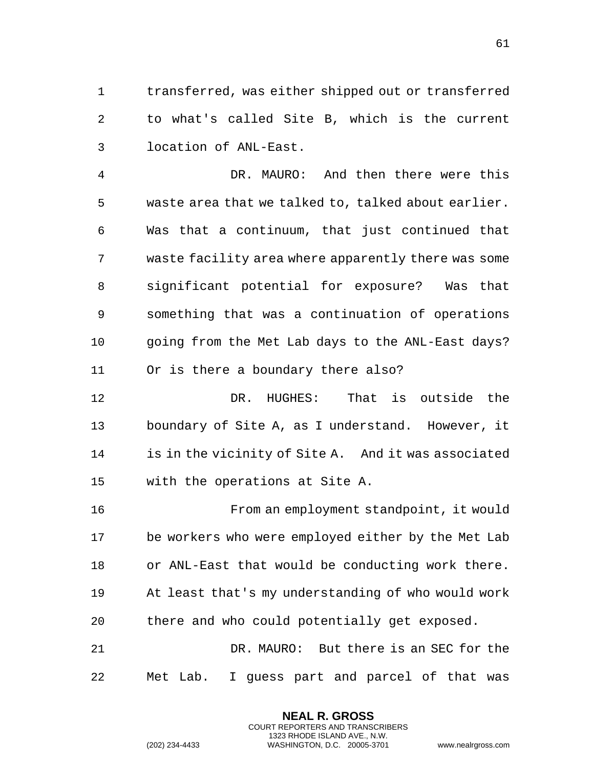transferred, was either shipped out or transferred to what's called Site B, which is the current location of ANL-East.

 DR. MAURO: And then there were this waste area that we talked to, talked about earlier. Was that a continuum, that just continued that waste facility area where apparently there was some significant potential for exposure? Was that something that was a continuation of operations going from the Met Lab days to the ANL-East days? Or is there a boundary there also?

 DR. HUGHES: That is outside the boundary of Site A, as I understand. However, it is in the vicinity of Site A. And it was associated with the operations at Site A.

 From an employment standpoint, it would be workers who were employed either by the Met Lab or ANL-East that would be conducting work there. At least that's my understanding of who would work there and who could potentially get exposed.

 DR. MAURO: But there is an SEC for the Met Lab. I guess part and parcel of that was

> **NEAL R. GROSS** COURT REPORTERS AND TRANSCRIBERS 1323 RHODE ISLAND AVE., N.W.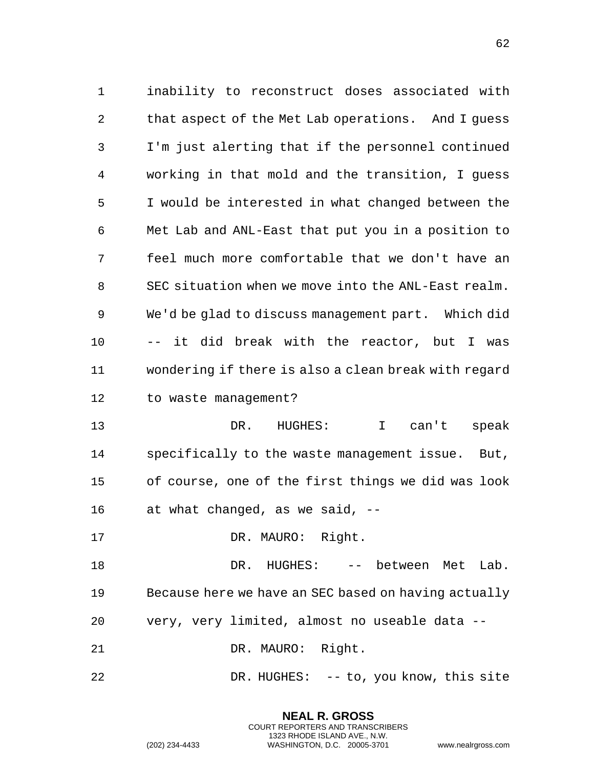inability to reconstruct doses associated with that aspect of the Met Lab operations. And I guess I'm just alerting that if the personnel continued working in that mold and the transition, I guess I would be interested in what changed between the Met Lab and ANL-East that put you in a position to feel much more comfortable that we don't have an SEC situation when we move into the ANL-East realm. We'd be glad to discuss management part. Which did -- it did break with the reactor, but I was wondering if there is also a clean break with regard to waste management?

 DR. HUGHES: I can't speak specifically to the waste management issue. But, of course, one of the first things we did was look at what changed, as we said, --

17 DR. MAURO: Right.

 DR. HUGHES: -- between Met Lab. Because here we have an SEC based on having actually very, very limited, almost no useable data --

DR. MAURO: Right.

DR. HUGHES: -- to, you know, this site

**NEAL R. GROSS** COURT REPORTERS AND TRANSCRIBERS 1323 RHODE ISLAND AVE., N.W.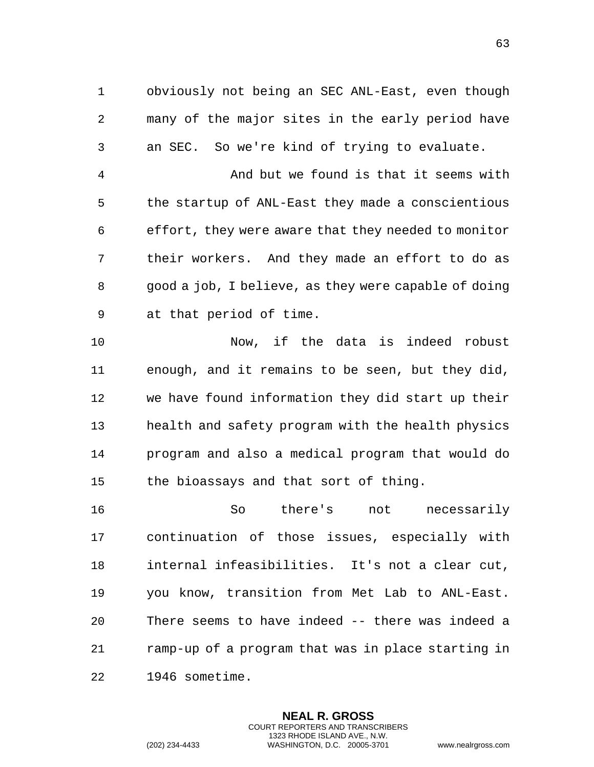obviously not being an SEC ANL-East, even though many of the major sites in the early period have an SEC. So we're kind of trying to evaluate.

 And but we found is that it seems with the startup of ANL-East they made a conscientious effort, they were aware that they needed to monitor their workers. And they made an effort to do as good a job, I believe, as they were capable of doing at that period of time.

 Now, if the data is indeed robust enough, and it remains to be seen, but they did, we have found information they did start up their health and safety program with the health physics program and also a medical program that would do the bioassays and that sort of thing.

 So there's not necessarily continuation of those issues, especially with internal infeasibilities. It's not a clear cut, you know, transition from Met Lab to ANL-East. There seems to have indeed -- there was indeed a ramp-up of a program that was in place starting in 1946 sometime.

> **NEAL R. GROSS** COURT REPORTERS AND TRANSCRIBERS 1323 RHODE ISLAND AVE., N.W.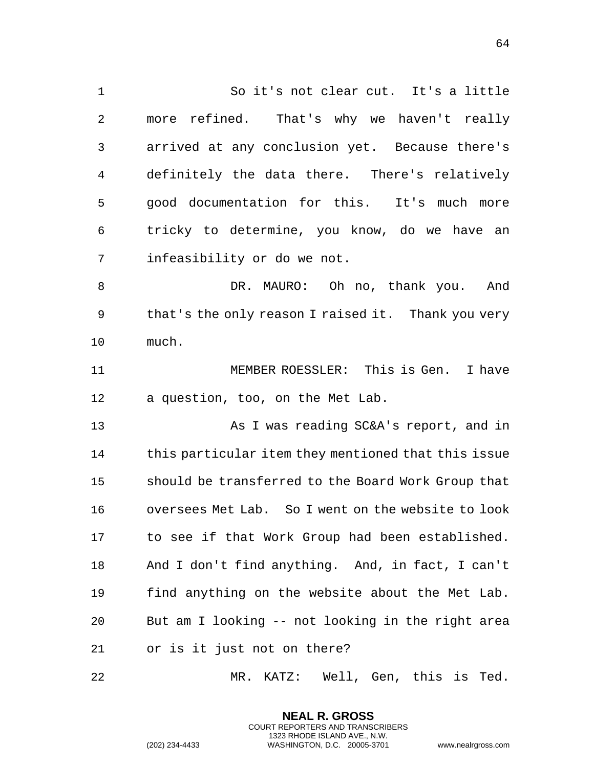So it's not clear cut. It's a little more refined. That's why we haven't really arrived at any conclusion yet. Because there's definitely the data there. There's relatively good documentation for this. It's much more tricky to determine, you know, do we have an infeasibility or do we not. DR. MAURO: Oh no, thank you. And that's the only reason I raised it. Thank you very much. MEMBER ROESSLER: This is Gen. I have a question, too, on the Met Lab. As I was reading SC&A's report, and in this particular item they mentioned that this issue should be transferred to the Board Work Group that oversees Met Lab. So I went on the website to look to see if that Work Group had been established. And I don't find anything. And, in fact, I can't find anything on the website about the Met Lab. But am I looking -- not looking in the right area or is it just not on there? MR. KATZ: Well, Gen, this is Ted.

> **NEAL R. GROSS** COURT REPORTERS AND TRANSCRIBERS 1323 RHODE ISLAND AVE., N.W.

(202) 234-4433 WASHINGTON, D.C. 20005-3701 www.nealrgross.com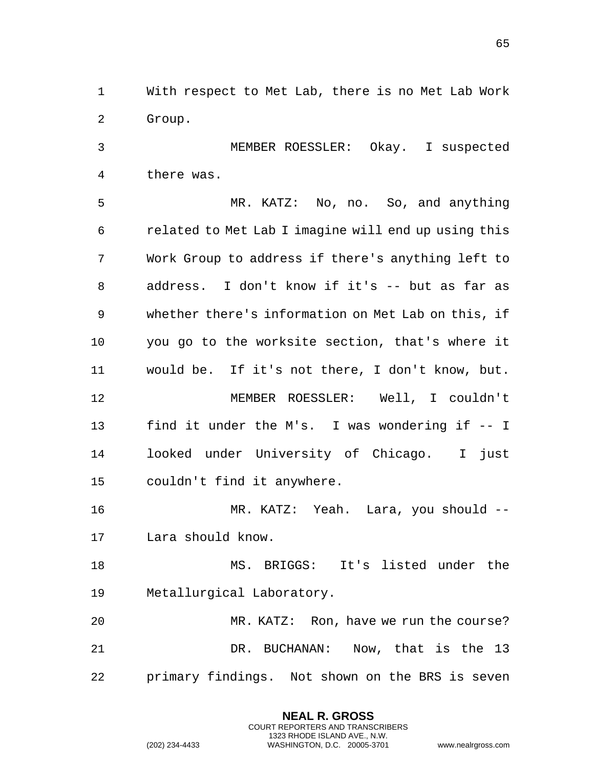With respect to Met Lab, there is no Met Lab Work Group.

 MEMBER ROESSLER: Okay. I suspected there was.

 MR. KATZ: No, no. So, and anything related to Met Lab I imagine will end up using this Work Group to address if there's anything left to address. I don't know if it's -- but as far as whether there's information on Met Lab on this, if you go to the worksite section, that's where it would be. If it's not there, I don't know, but. MEMBER ROESSLER: Well, I couldn't find it under the M's. I was wondering if -- I looked under University of Chicago. I just couldn't find it anywhere.

 MR. KATZ: Yeah. Lara, you should -- Lara should know.

 MS. BRIGGS: It's listed under the Metallurgical Laboratory.

 MR. KATZ: Ron, have we run the course? DR. BUCHANAN: Now, that is the 13 primary findings. Not shown on the BRS is seven

> **NEAL R. GROSS** COURT REPORTERS AND TRANSCRIBERS 1323 RHODE ISLAND AVE., N.W.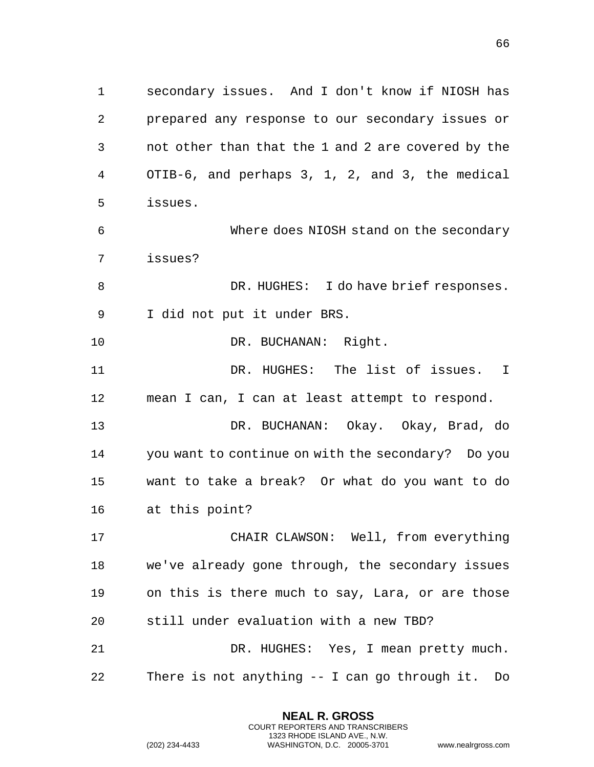secondary issues. And I don't know if NIOSH has prepared any response to our secondary issues or not other than that the 1 and 2 are covered by the OTIB-6, and perhaps 3, 1, 2, and 3, the medical issues.

 Where does NIOSH stand on the secondary issues?

8 DR. HUGHES: I do have brief responses. I did not put it under BRS.

DR. BUCHANAN: Right.

 DR. HUGHES: The list of issues. I mean I can, I can at least attempt to respond.

 DR. BUCHANAN: Okay. Okay, Brad, do you want to continue on with the secondary? Do you want to take a break? Or what do you want to do at this point?

 CHAIR CLAWSON: Well, from everything we've already gone through, the secondary issues on this is there much to say, Lara, or are those still under evaluation with a new TBD?

 DR. HUGHES: Yes, I mean pretty much. There is not anything -- I can go through it. Do

> **NEAL R. GROSS** COURT REPORTERS AND TRANSCRIBERS 1323 RHODE ISLAND AVE., N.W.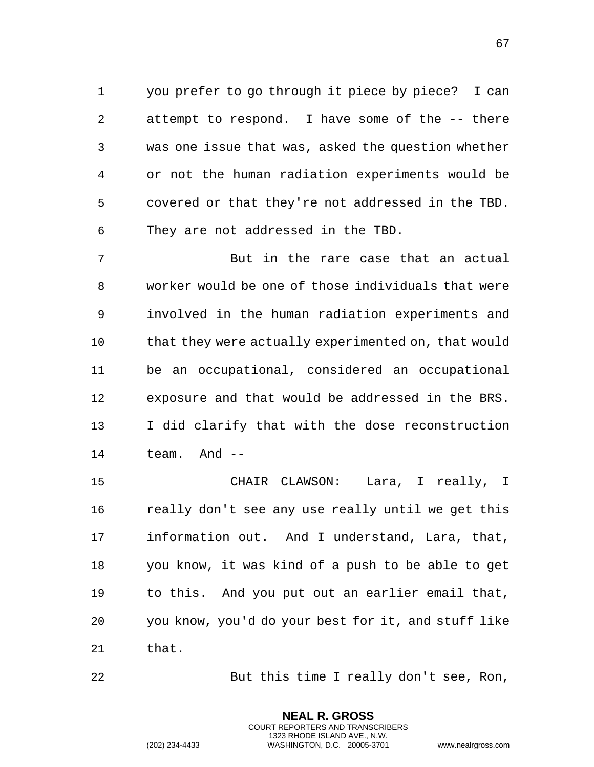you prefer to go through it piece by piece? I can attempt to respond. I have some of the -- there was one issue that was, asked the question whether or not the human radiation experiments would be covered or that they're not addressed in the TBD. They are not addressed in the TBD.

 But in the rare case that an actual worker would be one of those individuals that were involved in the human radiation experiments and 10 that they were actually experimented on, that would be an occupational, considered an occupational exposure and that would be addressed in the BRS. I did clarify that with the dose reconstruction team. And --

 CHAIR CLAWSON: Lara, I really, I really don't see any use really until we get this information out. And I understand, Lara, that, you know, it was kind of a push to be able to get to this. And you put out an earlier email that, you know, you'd do your best for it, and stuff like that.

But this time I really don't see, Ron,

**NEAL R. GROSS** COURT REPORTERS AND TRANSCRIBERS 1323 RHODE ISLAND AVE., N.W.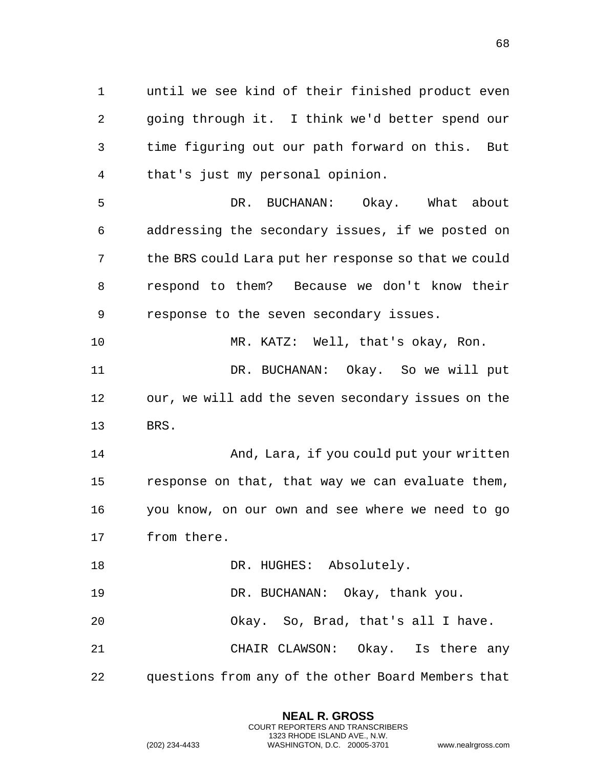until we see kind of their finished product even going through it. I think we'd better spend our time figuring out our path forward on this. But that's just my personal opinion.

 DR. BUCHANAN: Okay. What about addressing the secondary issues, if we posted on the BRS could Lara put her response so that we could respond to them? Because we don't know their response to the seven secondary issues.

 MR. KATZ: Well, that's okay, Ron. DR. BUCHANAN: Okay. So we will put our, we will add the seven secondary issues on the BRS.

 And, Lara, if you could put your written response on that, that way we can evaluate them, you know, on our own and see where we need to go from there.

18 DR. HUGHES: Absolutely.

DR. BUCHANAN: Okay, thank you.

Okay. So, Brad, that's all I have.

 CHAIR CLAWSON: Okay. Is there any questions from any of the other Board Members that

> **NEAL R. GROSS** COURT REPORTERS AND TRANSCRIBERS 1323 RHODE ISLAND AVE., N.W.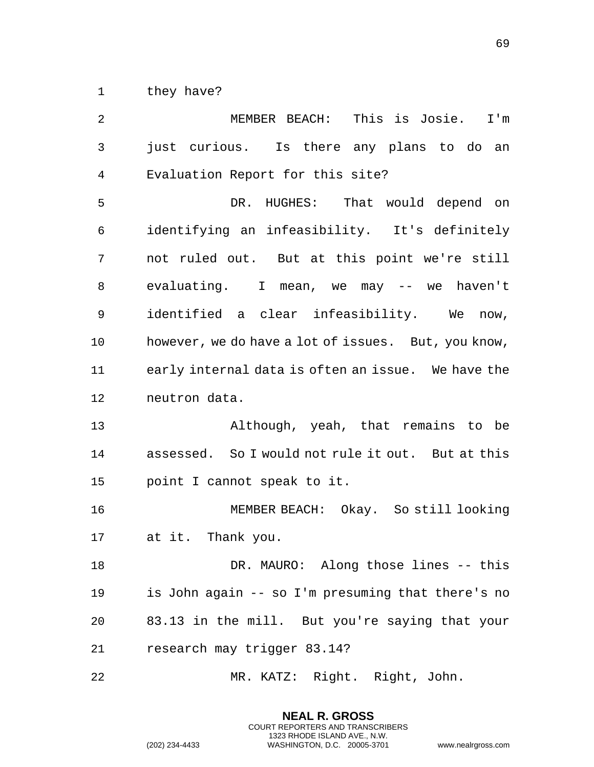1 they have?

 MEMBER BEACH: This is Josie. I'm just curious. Is there any plans to do an Evaluation Report for this site? DR. HUGHES: That would depend on identifying an infeasibility. It's definitely not ruled out. But at this point we're still evaluating. I mean, we may -- we haven't identified a clear infeasibility. We now, however, we do have a lot of issues. But, you know, early internal data is often an issue. We have the neutron data. Although, yeah, that remains to be assessed. So I would not rule it out. But at this point I cannot speak to it. MEMBER BEACH: Okay. So still looking at it. Thank you. DR. MAURO: Along those lines -- this is John again -- so I'm presuming that there's no 83.13 in the mill. But you're saying that your research may trigger 83.14? MR. KATZ: Right. Right, John.

> **NEAL R. GROSS** COURT REPORTERS AND TRANSCRIBERS 1323 RHODE ISLAND AVE., N.W.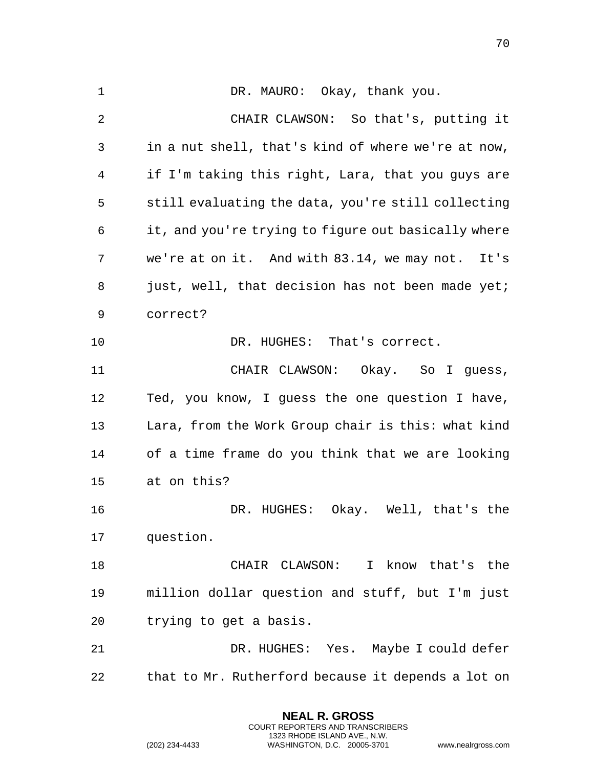1 DR. MAURO: Okay, thank you. CHAIR CLAWSON: So that's, putting it in a nut shell, that's kind of where we're at now, if I'm taking this right, Lara, that you guys are still evaluating the data, you're still collecting it, and you're trying to figure out basically where we're at on it. And with 83.14, we may not. It's 8 just, well, that decision has not been made yet; correct? DR. HUGHES: That's correct. CHAIR CLAWSON: Okay. So I guess, Ted, you know, I guess the one question I have, Lara, from the Work Group chair is this: what kind of a time frame do you think that we are looking at on this? DR. HUGHES: Okay. Well, that's the question. CHAIR CLAWSON: I know that's the million dollar question and stuff, but I'm just trying to get a basis. DR. HUGHES: Yes. Maybe I could defer that to Mr. Rutherford because it depends a lot on

> **NEAL R. GROSS** COURT REPORTERS AND TRANSCRIBERS 1323 RHODE ISLAND AVE., N.W.

(202) 234-4433 WASHINGTON, D.C. 20005-3701 www.nealrgross.com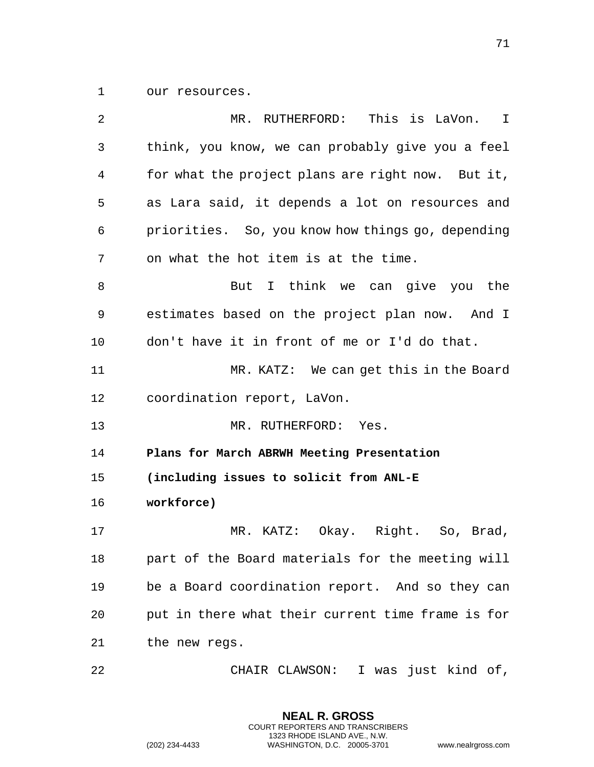our resources.

| 2  | MR. RUTHERFORD: This is LaVon. I                  |
|----|---------------------------------------------------|
| 3  | think, you know, we can probably give you a feel  |
| 4  | for what the project plans are right now. But it, |
| 5  | as Lara said, it depends a lot on resources and   |
| 6  | priorities. So, you know how things go, depending |
| 7  | on what the hot item is at the time.              |
| 8  | I think we can give you the<br>But                |
| 9  | estimates based on the project plan now. And I    |
| 10 | don't have it in front of me or I'd do that.      |
| 11 | MR. KATZ: We can get this in the Board            |
| 12 | coordination report, LaVon.                       |
| 13 | MR. RUTHERFORD:<br>Yes.                           |
| 14 | Plans for March ABRWH Meeting Presentation        |
| 15 | (including issues to solicit from ANL-E           |
| 16 | workforce)                                        |
| 17 | MR. KATZ: Okay. Right. So, Brad,                  |
| 18 | part of the Board materials for the meeting will  |
| 19 | be a Board coordination report. And so they can   |
| 20 | put in there what their current time frame is for |
| 21 | the new regs.                                     |
| 22 | CHAIR CLAWSON: I was just kind of,                |

**NEAL R. GROSS** COURT REPORTERS AND TRANSCRIBERS 1323 RHODE ISLAND AVE., N.W.

(202) 234-4433 WASHINGTON, D.C. 20005-3701 www.nealrgross.com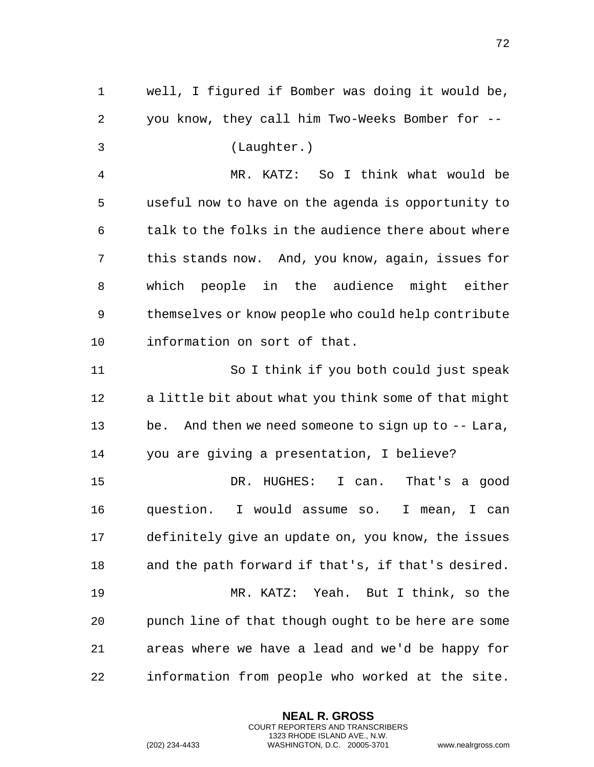well, I figured if Bomber was doing it would be, you know, they call him Two-Weeks Bomber for -- (Laughter.) MR. KATZ: So I think what would be useful now to have on the agenda is opportunity to talk to the folks in the audience there about where this stands now. And, you know, again, issues for which people in the audience might either themselves or know people who could help contribute information on sort of that. So I think if you both could just speak a little bit about what you think some of that might be. And then we need someone to sign up to -- Lara, you are giving a presentation, I believe? DR. HUGHES: I can. That's a good question. I would assume so. I mean, I can definitely give an update on, you know, the issues and the path forward if that's, if that's desired. MR. KATZ: Yeah. But I think, so the punch line of that though ought to be here are some areas where we have a lead and we'd be happy for information from people who worked at the site.

> **NEAL R. GROSS** COURT REPORTERS AND TRANSCRIBERS 1323 RHODE ISLAND AVE., N.W.

(202) 234-4433 WASHINGTON, D.C. 20005-3701 www.nealrgross.com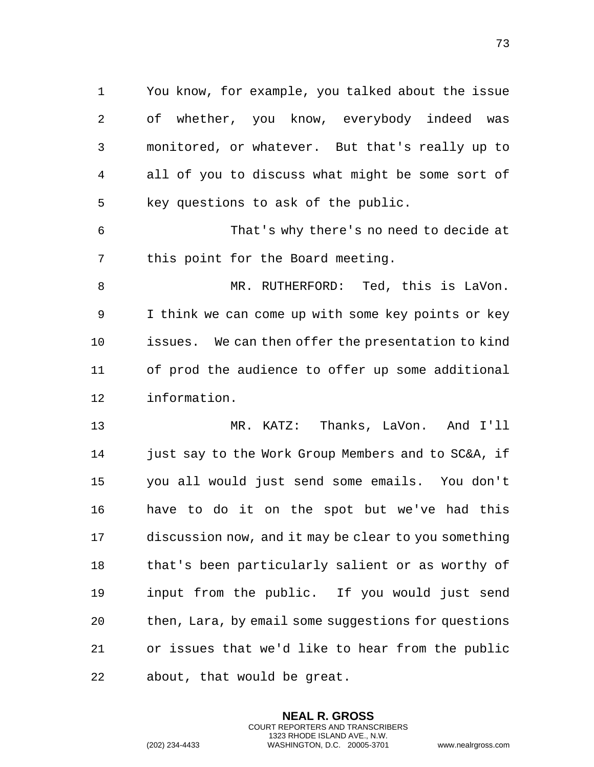You know, for example, you talked about the issue of whether, you know, everybody indeed was monitored, or whatever. But that's really up to all of you to discuss what might be some sort of key questions to ask of the public.

 That's why there's no need to decide at this point for the Board meeting.

 MR. RUTHERFORD: Ted, this is LaVon. I think we can come up with some key points or key issues. We can then offer the presentation to kind of prod the audience to offer up some additional information.

 MR. KATZ: Thanks, LaVon. And I'll 14 just say to the Work Group Members and to SC&A, if you all would just send some emails. You don't have to do it on the spot but we've had this discussion now, and it may be clear to you something that's been particularly salient or as worthy of input from the public. If you would just send then, Lara, by email some suggestions for questions or issues that we'd like to hear from the public about, that would be great.

> **NEAL R. GROSS** COURT REPORTERS AND TRANSCRIBERS 1323 RHODE ISLAND AVE., N.W.

(202) 234-4433 WASHINGTON, D.C. 20005-3701 www.nealrgross.com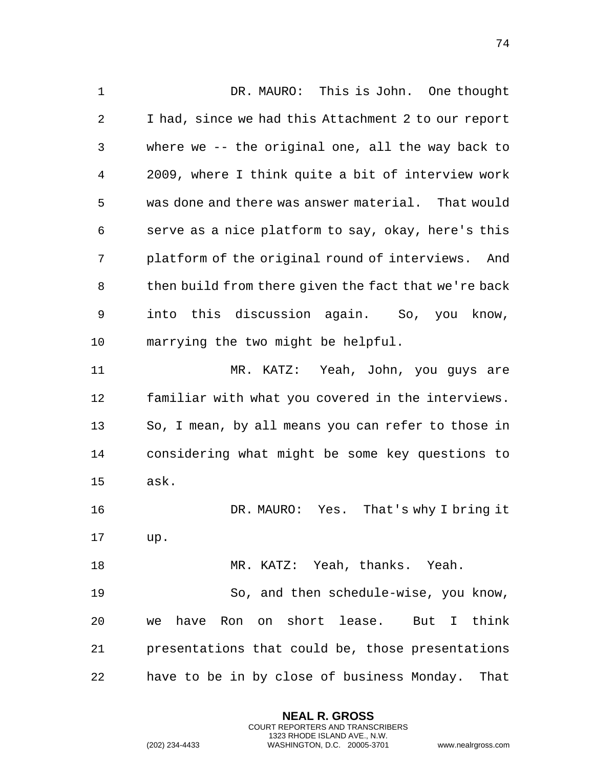DR. MAURO: This is John. One thought I had, since we had this Attachment 2 to our report where we -- the original one, all the way back to 2009, where I think quite a bit of interview work was done and there was answer material. That would serve as a nice platform to say, okay, here's this platform of the original round of interviews. And 8 then build from there given the fact that we're back into this discussion again. So, you know, marrying the two might be helpful. MR. KATZ: Yeah, John, you guys are familiar with what you covered in the interviews. So, I mean, by all means you can refer to those in considering what might be some key questions to ask. DR. MAURO: Yes. That's why I bring it up. MR. KATZ: Yeah, thanks. Yeah. So, and then schedule-wise, you know, we have Ron on short lease. But I think presentations that could be, those presentations have to be in by close of business Monday. That

> **NEAL R. GROSS** COURT REPORTERS AND TRANSCRIBERS 1323 RHODE ISLAND AVE., N.W.

(202) 234-4433 WASHINGTON, D.C. 20005-3701 www.nealrgross.com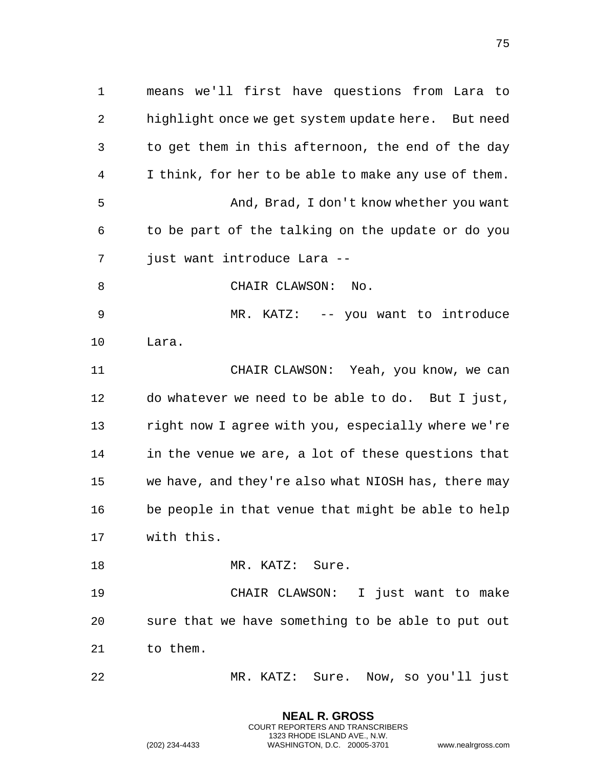means we'll first have questions from Lara to highlight once we get system update here. But need to get them in this afternoon, the end of the day I think, for her to be able to make any use of them. And, Brad, I don't know whether you want to be part of the talking on the update or do you just want introduce Lara -- 8 CHAIR CLAWSON: No. 9 MR. KATZ: -- you want to introduce Lara. CHAIR CLAWSON: Yeah, you know, we can do whatever we need to be able to do. But I just, right now I agree with you, especially where we're in the venue we are, a lot of these questions that we have, and they're also what NIOSH has, there may be people in that venue that might be able to help with this. 18 MR. KATZ: Sure. CHAIR CLAWSON: I just want to make sure that we have something to be able to put out

to them.

MR. KATZ: Sure. Now, so you'll just

**NEAL R. GROSS** COURT REPORTERS AND TRANSCRIBERS 1323 RHODE ISLAND AVE., N.W.

(202) 234-4433 WASHINGTON, D.C. 20005-3701 www.nealrgross.com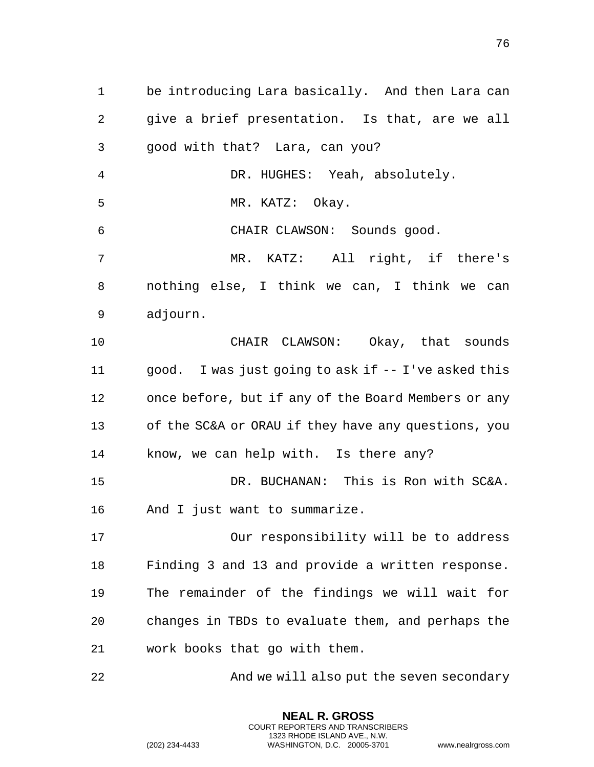be introducing Lara basically. And then Lara can give a brief presentation. Is that, are we all good with that? Lara, can you? DR. HUGHES: Yeah, absolutely. MR. KATZ: Okay. CHAIR CLAWSON: Sounds good. MR. KATZ: All right, if there's nothing else, I think we can, I think we can adjourn. CHAIR CLAWSON: Okay, that sounds good. I was just going to ask if -- I've asked this once before, but if any of the Board Members or any of the SC&A or ORAU if they have any questions, you know, we can help with. Is there any? DR. BUCHANAN: This is Ron with SC&A. And I just want to summarize. Our responsibility will be to address Finding 3 and 13 and provide a written response. The remainder of the findings we will wait for changes in TBDs to evaluate them, and perhaps the work books that go with them. And we will also put the seven secondary

> **NEAL R. GROSS** COURT REPORTERS AND TRANSCRIBERS 1323 RHODE ISLAND AVE., N.W.

(202) 234-4433 WASHINGTON, D.C. 20005-3701 www.nealrgross.com